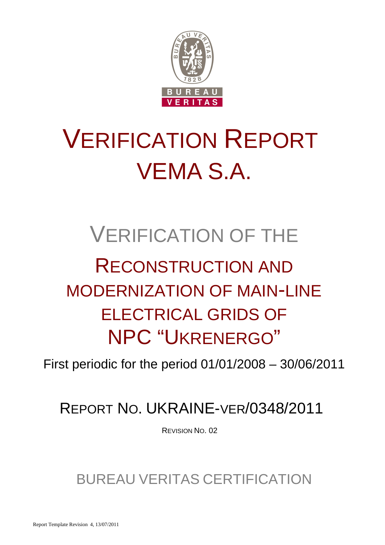

# VERIFICATION REPORT VEMA S.A.

## VERIFICATION OF THE RECONSTRUCTION AND MODERNIZATION OF MAIN-LINE ELECTRICAL GRIDS OF NPC "UKRENERGO"

First periodic for the period 01/01/2008 – 30/06/2011

## REPORT NO. UKRAINE-VER/0348/2011

REVISION NO. 02

### BUREAU VERITAS CERTIFICATION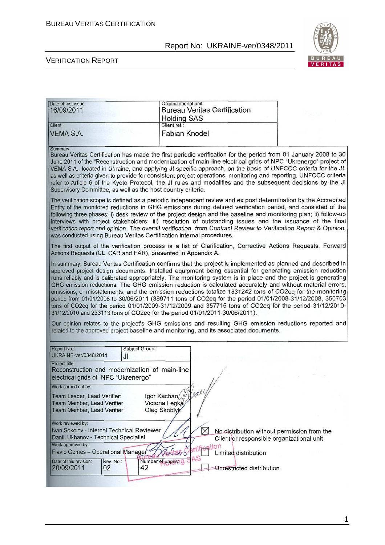

| Date of first issue:<br>16/09/2011                                                                                                                                   | Organizational unit:<br><b>Bureau Veritas Certification</b><br><b>Holding SAS</b><br>Client ref.: |                                                                                                                                                                                                                                                                                                                                                                                                                                                                                                                                                                                                                                                                                                                                                                                                                                                                                                      |
|----------------------------------------------------------------------------------------------------------------------------------------------------------------------|---------------------------------------------------------------------------------------------------|------------------------------------------------------------------------------------------------------------------------------------------------------------------------------------------------------------------------------------------------------------------------------------------------------------------------------------------------------------------------------------------------------------------------------------------------------------------------------------------------------------------------------------------------------------------------------------------------------------------------------------------------------------------------------------------------------------------------------------------------------------------------------------------------------------------------------------------------------------------------------------------------------|
| Client:<br><b>VEMA S.A.</b>                                                                                                                                          | <b>Fabian Knodel</b>                                                                              |                                                                                                                                                                                                                                                                                                                                                                                                                                                                                                                                                                                                                                                                                                                                                                                                                                                                                                      |
| Summary:<br>Supervisory Committee, as well as the host country criteria.                                                                                             |                                                                                                   | Bureau Veritas Certification has made the first periodic verification for the period from 01 January 2008 to 30<br>June 2011 of the "Reconstruction and modernization of main-line electrical grids of NPC "Ukrenergo" project of<br>VEMA S.A., located in Ukraine, and applying JI specific approach, on the basis of UNFCCC criteria for the JI,<br>as well as criteria given to provide for consistent project operations, monitoring and reporting. UNFCCC criteria<br>refer to Article 6 of the Kyoto Protocol, the JI rules and modalities and the subsequent decisions by the JI                                                                                                                                                                                                                                                                                                              |
| was conducted using Bureau Veritas Certification internal procedures.                                                                                                |                                                                                                   | The verification scope is defined as a periodic independent review and ex post determination by the Accredited<br>Entity of the monitored reductions in GHG emissions during defined verification period, and consisted of the<br>following three phases: i) desk review of the project design and the baseline and monitoring plan; ii) follow-up<br>interviews with project stakeholders; iii) resolution of outstanding issues and the issuance of the final<br>verification report and opinion. The overall verification, from Contract Review to Verification Report & Opinion,                                                                                                                                                                                                                                                                                                                 |
| Actions Requests (CL, CAR and FAR), presented in Appendix A.                                                                                                         |                                                                                                   | The first output of the verification process is a list of Clarification, Corrective Actions Requests, Forward                                                                                                                                                                                                                                                                                                                                                                                                                                                                                                                                                                                                                                                                                                                                                                                        |
| 31/12/2010 and 233113 tons of CO2eq for the period 01/01/2011-30/06/2011).<br>related to the approved project baseline and monitoring, and its associated documents. |                                                                                                   | In summary, Bureau Veritas Certification confirms that the project is implemented as planned and described in<br>approved project design documents. Installed equipment being essential for generating emission reduction<br>runs reliably and is calibrated appropriately. The monitoring system is in place and the project is generating<br>GHG emission reductions. The GHG emission reduction is calculated accurately and without material errors,<br>omissions, or misstatements, and the emission reductions totalize 1331242 tons of CO2eq for the monitoring<br>period from 01/01/2008 to 30/06/2011 (389711 tons of CO2eq for the period 01/01/2008-31/12/2008, 350703<br>tons of CO2eq for the period 01/01/2009-31/12/2009 and 357715 tons of CO2eq for the period 31/12/2010-<br>Our opinion relates to the project's GHG emissions and resulting GHG emission reductions reported and |
| Report No.:<br>Subject Group:<br>UKRAINE-ver/0348/2011<br>JI                                                                                                         |                                                                                                   |                                                                                                                                                                                                                                                                                                                                                                                                                                                                                                                                                                                                                                                                                                                                                                                                                                                                                                      |
| Project title:<br>Reconstruction and modernization of main-line<br>electrical grids of NPC "Ukrenergo"                                                               |                                                                                                   |                                                                                                                                                                                                                                                                                                                                                                                                                                                                                                                                                                                                                                                                                                                                                                                                                                                                                                      |
| Work carried out by:<br>Team Leader, Lead Verifier:<br>Team Member, Lead Verifier:<br>Team Member, Lead Verifier:                                                    | years<br>Igor Kachan<br>Victoria Legka<br>Oleg Skoblyk                                            |                                                                                                                                                                                                                                                                                                                                                                                                                                                                                                                                                                                                                                                                                                                                                                                                                                                                                                      |
| Work reviewed by:<br>Ivan Sokolov - Internal Technical Reviewer<br>Daniil Ukhanov - Technical Specialist<br>Work approved by:<br>Flavio Gomes - Operational Manager  | $\times$<br>ification                                                                             | No distribution without permission from the<br>Client or responsible organizational unit<br>Limited distribution                                                                                                                                                                                                                                                                                                                                                                                                                                                                                                                                                                                                                                                                                                                                                                                     |
| Date of this revision:<br>Rev. No.:<br>20/09/2011<br>42<br>02                                                                                                        | Number of pages: 0                                                                                | Unrestricted distribution                                                                                                                                                                                                                                                                                                                                                                                                                                                                                                                                                                                                                                                                                                                                                                                                                                                                            |
|                                                                                                                                                                      |                                                                                                   |                                                                                                                                                                                                                                                                                                                                                                                                                                                                                                                                                                                                                                                                                                                                                                                                                                                                                                      |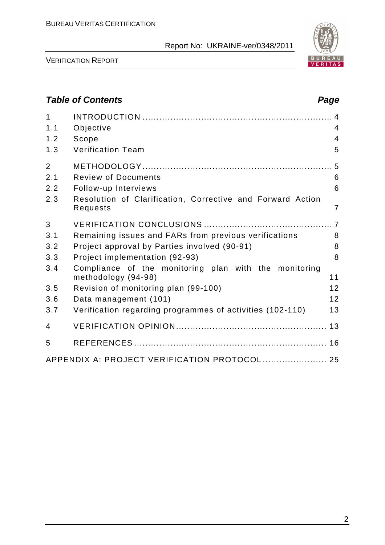

VERIFICATION REPORT

#### **Table of Contents Page 2018**

| $\mathbf 1$<br>1.1<br>1.2<br>1.3 | Objective<br>Scope<br><b>Verification Team</b>                               | $\overline{4}$<br>$\overline{4}$<br>5 |
|----------------------------------|------------------------------------------------------------------------------|---------------------------------------|
| $\overline{2}$                   |                                                                              |                                       |
| 2.1                              | <b>Review of Documents</b>                                                   | 6                                     |
| 2.2                              | Follow-up Interviews                                                         | 6                                     |
| 2.3                              | Resolution of Clarification, Corrective and Forward Action<br>Requests       | $\overline{7}$                        |
| 3                                |                                                                              |                                       |
| 3.1                              | Remaining issues and FARs from previous verifications                        | 8                                     |
| 3.2                              | Project approval by Parties involved (90-91)                                 | 8                                     |
| 3.3                              | Project implementation (92-93)                                               | 8                                     |
| 3.4                              | Compliance of the monitoring plan with the monitoring<br>methodology (94-98) | 11                                    |
| 3.5                              | Revision of monitoring plan (99-100)                                         | 12                                    |
| 3.6                              | Data management (101)                                                        | 12                                    |
| 3.7                              | Verification regarding programmes of activities (102-110)                    | 13                                    |
| 4                                |                                                                              |                                       |
| 5                                |                                                                              |                                       |
|                                  | APPENDIX A: PROJECT VERIFICATION PROTOCOL  25                                |                                       |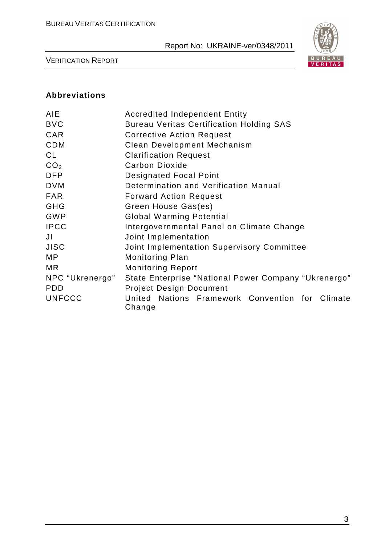

VERIFICATION REPORT

#### **Abbreviations**

| AIE             | <b>Accredited Independent Entity</b>                      |  |  |  |  |
|-----------------|-----------------------------------------------------------|--|--|--|--|
| <b>BVC</b>      | <b>Bureau Veritas Certification Holding SAS</b>           |  |  |  |  |
| CAR             | <b>Corrective Action Request</b>                          |  |  |  |  |
| <b>CDM</b>      | <b>Clean Development Mechanism</b>                        |  |  |  |  |
| <b>CL</b>       | <b>Clarification Request</b>                              |  |  |  |  |
| CO <sub>2</sub> | <b>Carbon Dioxide</b>                                     |  |  |  |  |
| <b>DFP</b>      | <b>Designated Focal Point</b>                             |  |  |  |  |
| <b>DVM</b>      | Determination and Verification Manual                     |  |  |  |  |
| <b>FAR</b>      | <b>Forward Action Request</b>                             |  |  |  |  |
| <b>GHG</b>      | Green House Gas(es)                                       |  |  |  |  |
| <b>GWP</b>      | <b>Global Warming Potential</b>                           |  |  |  |  |
| <b>IPCC</b>     | Intergovernmental Panel on Climate Change                 |  |  |  |  |
| JI              | Joint Implementation                                      |  |  |  |  |
| <b>JISC</b>     | Joint Implementation Supervisory Committee                |  |  |  |  |
| MP              | <b>Monitoring Plan</b>                                    |  |  |  |  |
| <b>MR</b>       | <b>Monitoring Report</b>                                  |  |  |  |  |
| NPC "Ukrenergo" | State Enterprise "National Power Company "Ukrenergo"      |  |  |  |  |
| <b>PDD</b>      | <b>Project Design Document</b>                            |  |  |  |  |
| <b>UNFCCC</b>   | United Nations Framework Convention for Climate<br>Change |  |  |  |  |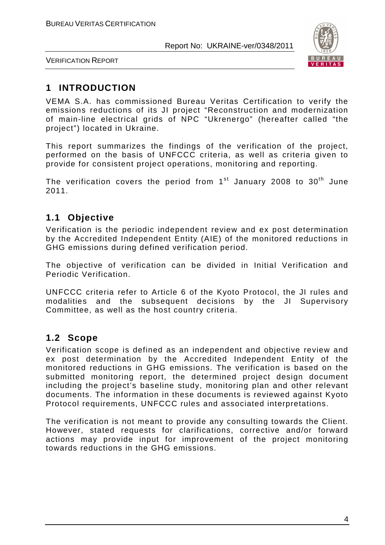

VERIFICATION REPORT

#### **1 INTRODUCTION**

VEMA S.A. has commissioned Bureau Veritas Certification to verify the emissions reductions of its JI project "Reconstruction and modernization of main-line electrical grids of NPC "Ukrenergo" (hereafter called "the project") located in Ukraine.

This report summarizes the findings of the verification of the project, performed on the basis of UNFCCC criteria, as well as criteria given to provide for consistent project operations, monitoring and reporting.

The verification covers the period from  $1<sup>st</sup>$  January 2008 to 30<sup>th</sup> June 2011.

#### **1.1 Objective**

Verification is the periodic independent review and ex post determination by the Accredited Independent Entity (AIE) of the monitored reductions in GHG emissions during defined verification period.

The objective of verification can be divided in Initial Verification and Periodic Verification.

UNFCCC criteria refer to Article 6 of the Kyoto Protocol, the JI rules and modalities and the subsequent decisions by the JI Supervisory Committee, as well as the host country criteria.

#### **1.2 Scope**

Verification scope is defined as an independent and objective review and ex post determination by the Accredited Independent Entity of the monitored reductions in GHG emissions. The verification is based on the submitted monitoring report, the determined project design document including the project's baseline study, monitoring plan and other relevant documents. The information in these documents is reviewed against Kyoto Protocol requirements, UNFCCC rules and associated interpretations.

The verification is not meant to provide any consulting towards the Client. However, stated requests for clarifications, corrective and/or forward actions may provide input for improvement of the project monitoring towards reductions in the GHG emissions.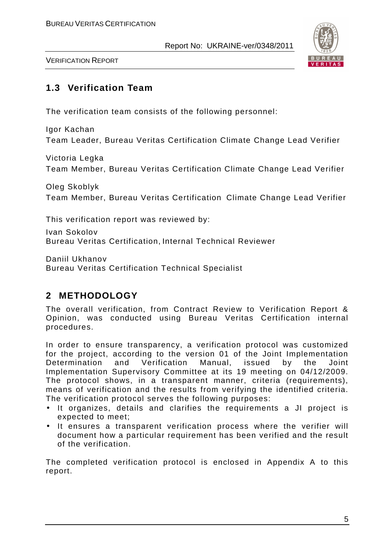

VERIFICATION REPORT

#### **1.3 Verification Team**

The verification team consists of the following personnel:

Igor Kachan Team Leader, Bureau Veritas Certification Climate Change Lead Verifier

Victoria Legka Team Member, Bureau Veritas Certification Climate Change Lead Verifier

Oleg Skoblyk Team Member, Bureau Veritas Certification Climate Change Lead Verifier

This verification report was reviewed by:

Ivan Sokolov Bureau Veritas Certification, Internal Technical Reviewer

Daniil Ukhanov Bureau Veritas Certification Technical Specialist

#### **2 METHODOLOGY**

The overall verification, from Contract Review to Verification Report & Opinion, was conducted using Bureau Veritas Certification internal procedures.

In order to ensure transparency, a verification protocol was customized for the project, according to the version 01 of the Joint Implementation Determination and Verification Manual, issued by the Joint Implementation Supervisory Committee at its 19 meeting on 04/12/2009. The protocol shows, in a transparent manner, criteria (requirements), means of verification and the results from verifying the identified criteria. The verification protocol serves the following purposes:

- It organizes, details and clarifies the requirements a JI project is expected to meet;
- It ensures a transparent verification process where the verifier will document how a particular requirement has been verified and the result of the verification.

The completed verification protocol is enclosed in Appendix A to this report.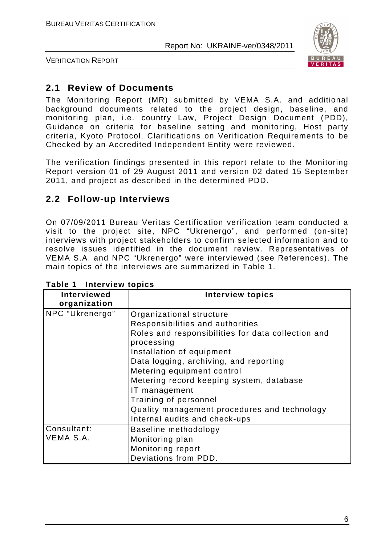

VERIFICATION REPORT

#### **2.1 Review of Documents**

The Monitoring Report (MR) submitted by VEMA S.A. and additional background documents related to the project design, baseline, and monitoring plan, i.e. country Law, Project Design Document (PDD), Guidance on criteria for baseline setting and monitoring, Host party criteria, Kyoto Protocol, Clarifications on Verification Requirements to be Checked by an Accredited Independent Entity were reviewed.

The verification findings presented in this report relate to the Monitoring Report version 01 of 29 August 2011 and version 02 dated 15 September 2011, and project as described in the determined PDD.

#### **2.2 Follow-up Interviews**

On 07/09/2011 Bureau Veritas Certification verification team conducted a visit to the project site, NPC "Ukrenergo", and performed (on-site) interviews with project stakeholders to confirm selected information and to resolve issues identified in the document review. Representatives of VEMA S.A. and NPC "Ukrenergo" were interviewed (see References). The main topics of the interviews are summarized in Table 1.

| <b>Interviewed</b><br>organization | <b>Interview topics</b>                                          |
|------------------------------------|------------------------------------------------------------------|
| NPC "Ukrenergo"                    | Organizational structure                                         |
|                                    | Responsibilities and authorities                                 |
|                                    | Roles and responsibilities for data collection and<br>processing |
|                                    | Installation of equipment                                        |
|                                    | Data logging, archiving, and reporting                           |
|                                    | Metering equipment control                                       |
|                                    | Metering record keeping system, database                         |
|                                    | IT management                                                    |
|                                    | Training of personnel                                            |
|                                    | Quality management procedures and technology                     |
|                                    | Internal audits and check-ups                                    |
| Consultant:                        | Baseline methodology                                             |
| VEMA S.A.                          | Monitoring plan                                                  |
|                                    | Monitoring report                                                |
|                                    | Deviations from PDD.                                             |

| Table 1 | Interview topics |  |
|---------|------------------|--|
|---------|------------------|--|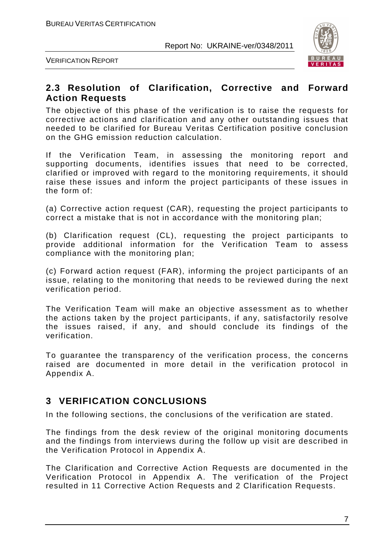

VERIFICATION REPORT

#### **2.3 Resolution of Clarification, Corrective and Forward Action Requests**

The objective of this phase of the verification is to raise the requests for corrective actions and clarification and any other outstanding issues that needed to be clarified for Bureau Veritas Certification positive conclusion on the GHG emission reduction calculation.

If the Verification Team, in assessing the monitoring report and supporting documents, identifies issues that need to be corrected, clarified or improved with regard to the monitoring requirements, it should raise these issues and inform the project participants of these issues in the form of:

(a) Corrective action request (CAR), requesting the project participants to correct a mistake that is not in accordance with the monitoring plan;

(b) Clarification request (CL), requesting the project participants to provide additional information for the Verification Team to assess compliance with the monitoring plan;

(c) Forward action request (FAR), informing the project participants of an issue, relating to the monitoring that needs to be reviewed during the next verification period.

The Verification Team will make an objective assessment as to whether the actions taken by the project participants, if any, satisfactorily resolve the issues raised, if any, and should conclude its findings of the verification.

To guarantee the transparency of the verification process, the concerns raised are documented in more detail in the verification protocol in Appendix A.

#### **3 VERIFICATION CONCLUSIONS**

In the following sections, the conclusions of the verification are stated.

The findings from the desk review of the original monitoring documents and the findings from interviews during the follow up visit are described in the Verification Protocol in Appendix A.

The Clarification and Corrective Action Requests are documented in the Verification Protocol in Appendix A. The verification of the Project resulted in 11 Corrective Action Requests and 2 Clarification Requests.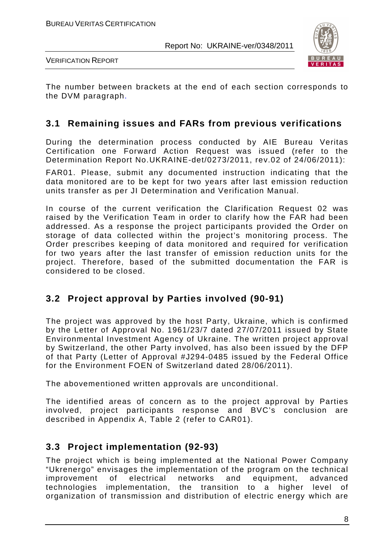

VERIFICATION REPORT

The number between brackets at the end of each section corresponds to the DVM paragraph.

#### **3.1 Remaining issues and FARs from previous verifications**

During the determination process conducted by AIE Bureau Veritas Certification one Forward Action Request was issued (refer to the Determination Report No.UKRAINE-det/0273/2011, rev.02 of 24/06/2011):

FAR01. Please, submit any documented instruction indicating that the data monitored are to be kept for two years after last emission reduction units transfer as per JI Determination and Verification Manual.

In course of the current verification the Clarification Request 02 was raised by the Verification Team in order to clarify how the FAR had been addressed. As a response the project participants provided the Order on storage of data collected within the project's monitoring process. The Order prescribes keeping of data monitored and required for verification for two years after the last transfer of emission reduction units for the project. Therefore, based of the submitted documentation the FAR is considered to be closed.

#### **3.2 Project approval by Parties involved (90-91)**

The project was approved by the host Party, Ukraine, which is confirmed by the Letter of Approval No. 1961/23/7 dated 27/07/2011 issued by State Environmental Investment Agency of Ukraine. The written project approval by Switzerland, the other Party involved, has also been issued by the DFP of that Party (Letter of Approval #J294-0485 issued by the Federal Office for the Environment FOEN of Switzerland dated 28/06/2011).

The abovementioned written approvals are unconditional.

The identified areas of concern as to the project approval by Parties involved, project participants response and BVC's conclusion are described in Appendix A, Table 2 (refer to CAR01).

#### **3.3 Project implementation (92-93)**

The project which is being implemented at the National Power Company "Ukrenergo" envisages the implementation of the program on the technical improvement of electrical networks and equipment, advanced technologies implementation, the transition to a higher level of organization of transmission and distribution of electric energy which are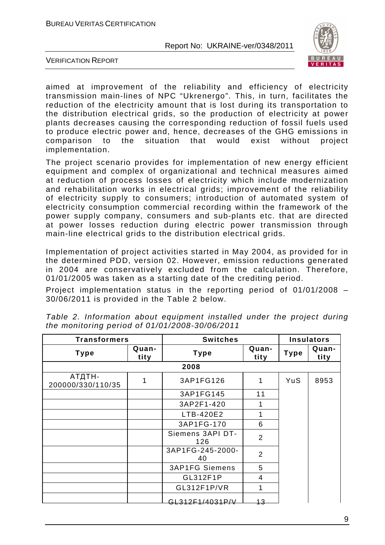

VERIFICATION REPORT

aimed at improvement of the reliability and efficiency of electricity transmission main-lines of NPC "Ukrenergo". This, in turn, facilitates the reduction of the electricity amount that is lost during its transportation to the distribution electrical grids, so the production of electricity at power plants decreases causing the corresponding reduction of fossil fuels used to produce electric power and, hence, decreases of the GHG emissions in comparison to the situation that would exist without project implementation.

The project scenario provides for implementation of new energy efficient equipment and complex of organizational and technical measures aimed at reduction of process losses of electricity which include modernization and rehabilitation works in electrical grids; improvement of the reliability of electricity supply to consumers; introduction of automated system of electricity consumption commercial recording within the framework of the power supply company, consumers and sub-plants etc. that are directed at power losses reduction during electric power transmission through main-line electrical grids to the distribution electrical grids.

Implementation of project activities started in May 2004, as provided for in the determined PDD, version 02. However, emission reductions generated in 2004 are conservatively excluded from the calculation. Therefore, 01/01/2005 was taken as a starting date of the crediting period.

Project implementation status in the reporting period of 01/01/2008 – 30/06/2011 is provided in the Table 2 below.

| <b>Transformers</b>         |               | <b>Switches</b>              |    |             | <b>Insulators</b> |
|-----------------------------|---------------|------------------------------|----|-------------|-------------------|
| <b>Type</b>                 | Quan-<br>tity | Quan-<br><b>Type</b><br>tity |    | <b>Type</b> | Quan-<br>tity     |
|                             |               | 2008                         |    |             |                   |
| АТДТН-<br>200000/330/110/35 | 1             | 3AP1FG126                    | 1  | YuS         | 8953              |
|                             |               | 3AP1FG145                    | 11 |             |                   |
|                             |               | 3AP2F1-420                   | 1  |             |                   |
|                             |               | LTB-420E2                    | 1  |             |                   |
|                             |               | 3AP1FG-170                   | 6  |             |                   |
|                             |               | Siemens 3API DT-<br>126      | 2  |             |                   |
|                             |               | 3AP1FG-245-2000-<br>40       | 2  |             |                   |
|                             |               | <b>3AP1FG Siemens</b>        | 5  |             |                   |
|                             |               | GL312F1P                     | 4  |             |                   |
|                             |               | GL312F1P/VR                  | 1  |             |                   |
|                             |               | GL312F1/4031P/V              | 43 |             |                   |

Table 2. Information about equipment installed under the project during the monitoring period of 01/01/2008-30/06/2011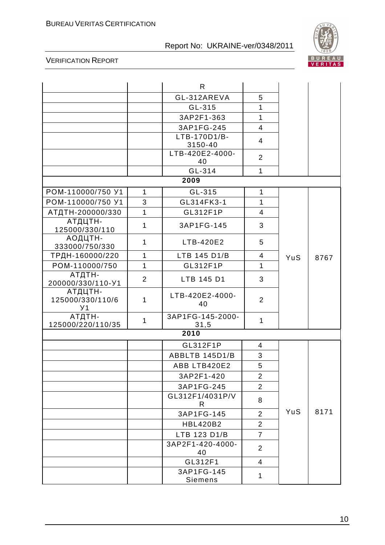

|                                          |                | $\mathsf{R}$             |                         |            |      |
|------------------------------------------|----------------|--------------------------|-------------------------|------------|------|
|                                          |                | GL-312AREVA              | 5                       |            |      |
|                                          |                | GL-315                   | $\mathbf{1}$            |            |      |
|                                          |                | 3AP2F1-363               | $\mathbf{1}$            |            |      |
|                                          |                | 3AP1FG-245               | $\overline{4}$          |            |      |
|                                          |                | LTB-170D1/B-<br>3150-40  | 4                       |            |      |
|                                          |                | LTB-420E2-4000-<br>40    | $\overline{2}$          |            |      |
|                                          |                | GL-314                   | $\mathbf{1}$            |            |      |
|                                          |                | 2009                     |                         |            |      |
| POM-110000/750 Y1                        | $\mathbf{1}$   | GL-315                   | $\mathbf{1}$            |            |      |
| POM-110000/750 Y1                        | 3              | GL314FK3-1               | $\mathbf{1}$            |            |      |
| АТДТН-200000/330                         | 1              | GL312F1P                 | $\overline{4}$          |            |      |
| АТДЦТН-<br>125000/330/110                | 1              | 3AP1FG-145               | 3                       |            |      |
| АОДЦТН-<br>333000/750/330                | $\mathbf{1}$   | LTB-420E2                | 5                       |            |      |
| ТРДН-160000/220                          | 1              | LTB 145 D1/B             | $\overline{\mathbf{4}}$ | YuS        | 8767 |
| POM-110000/750                           | $\mathbf{1}$   | GL312F1P                 | $\mathbf{1}$            |            |      |
| АТДТН-<br>200000/330/110-Y1              | $\overline{2}$ | LTB 145 D1               | 3                       |            |      |
| АТДЦТН-<br>125000/330/110/6<br><b>y1</b> | 1              | LTB-420E2-4000-<br>40    | $\overline{2}$          |            |      |
| АТДТН-<br>125000/220/110/35              | $\mathbf{1}$   | 3AP1FG-145-2000-<br>31,5 | $\mathbf{1}$            |            |      |
|                                          |                | 2010                     |                         |            |      |
|                                          |                | GL312F1P                 | $\overline{4}$          |            |      |
|                                          |                | ABBLTB 145D1/B           | 3                       |            |      |
|                                          |                | ABB LTB420E2             | 5                       |            |      |
|                                          |                | 3AP2F1-420               | $\overline{2}$          |            |      |
|                                          |                | 3AP1FG-245               | $\overline{2}$          |            |      |
|                                          |                | GL312F1/4031P/V<br>R     | 8                       |            |      |
|                                          |                | 3AP1FG-145               | $\overline{2}$          | <b>YuS</b> | 8171 |
|                                          |                | <b>HBL420B2</b>          | $\overline{2}$          |            |      |
|                                          |                | LTB 123 D1/B             | $\overline{7}$          |            |      |
|                                          |                | 3AP2F1-420-4000-<br>40   | $\overline{2}$          |            |      |
|                                          |                | GL312F1                  | 4                       |            |      |
|                                          |                | 3AP1FG-145<br>Siemens    | 1                       |            |      |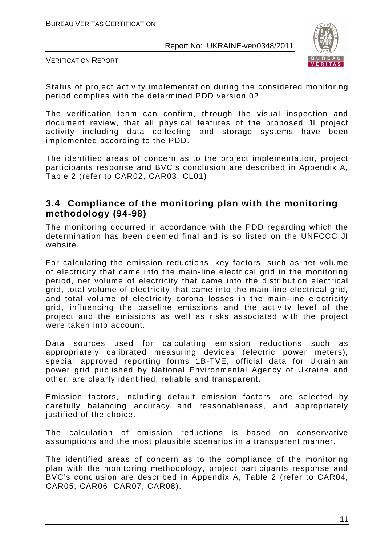

VERIFICATION REPORT

Status of project activity implementation during the considered monitoring period complies with the determined PDD version 02.

The verification team can confirm, through the visual inspection and document review, that all physical features of the proposed JI project activity including data collecting and storage systems have been implemented according to the PDD.

The identified areas of concern as to the project implementation, project participants response and BVC's conclusion are described in Appendix A, Table 2 (refer to CAR02, CAR03, CL01).

#### **3.4 Compliance of the monitoring plan with the monitoring methodology (94-98)**

The monitoring occurred in accordance with the PDD regarding which the determination has been deemed final and is so listed on the UNFCCC JI website.

For calculating the emission reductions, key factors, such as net volume of electricity that came into the main-line electrical grid in the monitoring period, net volume of electricity that came into the distribution electrical grid, total volume of electricity that came into the main-line electrical grid, and total volume of electricity corona losses in the main-line electricity grid, influencing the baseline emissions and the activity level of the project and the emissions as well as risks associated with the project were taken into account.

Data sources used for calculating emission reductions such as appropriately calibrated measuring devices (electric power meters), special approved reporting forms 1B-TVE, official data for Ukrainian power grid published by National Environmental Agency of Ukraine and other, are clearly identified, reliable and transparent.

Emission factors, including default emission factors, are selected by carefully balancing accuracy and reasonableness, and appropriately justified of the choice.

The calculation of emission reductions is based on conservative assumptions and the most plausible scenarios in a transparent manner.

The identified areas of concern as to the compliance of the monitoring plan with the monitoring methodology, project participants response and BVC's conclusion are described in Appendix A, Table 2 (refer to CAR04, CAR05, CAR06, CAR07, CAR08).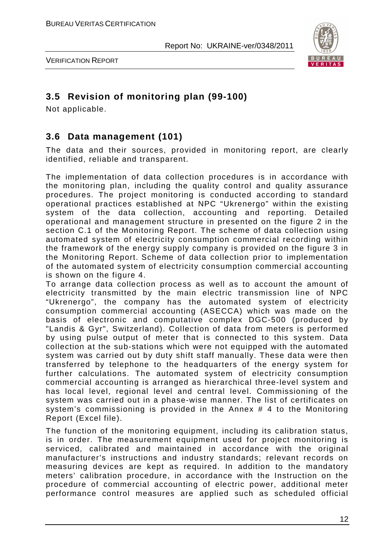

VERIFICATION REPORT

#### **3.5 Revision of monitoring plan (99-100)**

Not applicable.

#### **3.6 Data management (101)**

The data and their sources, provided in monitoring report, are clearly identified, reliable and transparent.

The implementation of data collection procedures is in accordance with the monitoring plan, including the quality control and quality assurance procedures. The project monitoring is conducted according to standard operational practices established at NPC "Ukrenergo" within the existing system of the data collection, accounting and reporting. Detailed operational and management structure in presented on the figure 2 in the section C.1 of the Monitoring Report. The scheme of data collection using automated system of electricity consumption commercial recording within the framework of the energy supply company is provided on the figure 3 in the Monitoring Report. Scheme of data collection prior to implementation of the automated system of electricity consumption commercial accounting is shown on the figure 4.

To arrange data collection process as well as to account the amount of electricity transmitted by the main electric transmission line of NPC "Ukrenergo", the company has the automated system of electricity consumption commercial accounting (ASECCA) which was made on the basis of electronic and computative complex DGC-500 (produced by "Landis & Gyr", Switzerland). Collection of data from meters is performed by using pulse output of meter that is connected to this system. Data collection at the sub-stations which were not equipped with the automated system was carried out by duty shift staff manually. These data were then transferred by telephone to the headquarters of the energy system for further calculations. The automated system of electricity consumption commercial accounting is arranged as hierarchical three-level system and has local level, regional level and central level. Commissioning of the system was carried out in a phase-wise manner. The list of certificates on system's commissioning is provided in the Annex # 4 to the Monitoring Report (Excel file).

The function of the monitoring equipment, including its calibration status, is in order. The measurement equipment used for project monitoring is serviced, calibrated and maintained in accordance with the original manufacturer's instructions and industry standards; relevant records on measuring devices are kept as required. In addition to the mandatory meters' calibration procedure, in accordance with the Instruction on the procedure of commercial accounting of electric power, additional meter performance control measures are applied such as scheduled official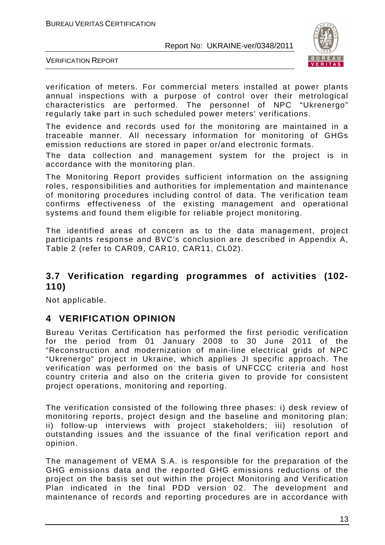

VERIFICATION REPORT

verification of meters. For commercial meters installed at power plants annual inspections with a purpose of control over their metrological characteristics are performed. The personnel of NPC "Ukrenergo" regularly take part in such scheduled power meters' verifications.

The evidence and records used for the monitoring are maintained in a traceable manner. All necessary information for monitoring of GHGs emission reductions are stored in paper or/and electronic formats.

The data collection and management system for the project is in accordance with the monitoring plan.

The Monitoring Report provides sufficient information on the assigning roles, responsibilities and authorities for implementation and maintenance of monitoring procedures including control of data. The verification team confirms effectiveness of the existing management and operational systems and found them eligible for reliable project monitoring.

The identified areas of concern as to the data management, project participants response and BVC's conclusion are described in Appendix A, Table 2 (refer to CAR09, CAR10, CAR11, CL02).

#### **3.7 Verification regarding programmes of activities (102- 110)**

Not applicable.

#### **4 VERIFICATION OPINION**

Bureau Veritas Certification has performed the first periodic verification for the period from 01 January 2008 to 30 June 2011 of the "Reconstruction and modernization of main-line electrical grids of NPC "Ukrenergo" project in Ukraine, which applies JI specific approach. The verification was performed on the basis of UNFCCC criteria and host country criteria and also on the criteria given to provide for consistent project operations, monitoring and reporting.

The verification consisted of the following three phases: i) desk review of monitoring reports, project design and the baseline and monitoring plan; ii) follow-up interviews with project stakeholders; iii) resolution of outstanding issues and the issuance of the final verification report and opinion.

The management of VEMA S.A. is responsible for the preparation of the GHG emissions data and the reported GHG emissions reductions of the project on the basis set out within the project Monitoring and Verification Plan indicated in the final PDD version 02. The development and maintenance of records and reporting procedures are in accordance with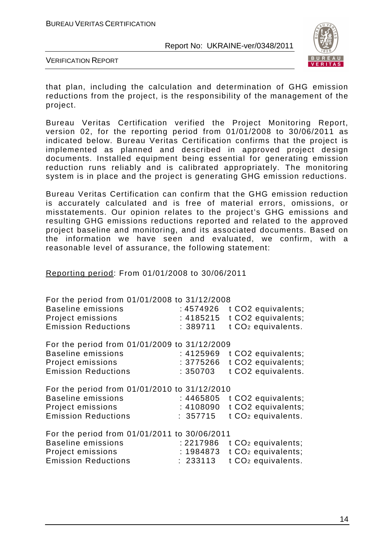

VERIFICATION REPORT

that plan, including the calculation and determination of GHG emission reductions from the project, is the responsibility of the management of the project.

Bureau Veritas Certification verified the Project Monitoring Report, version 02, for the reporting period from 01/01/2008 to 30/06/2011 as indicated below. Bureau Veritas Certification confirms that the project is implemented as planned and described in approved project design documents. Installed equipment being essential for generating emission reduction runs reliably and is calibrated appropriately. The monitoring system is in place and the project is generating GHG emission reductions.

Bureau Veritas Certification can confirm that the GHG emission reduction is accurately calculated and is free of material errors, omissions, or misstatements. Our opinion relates to the project's GHG emissions and resulting GHG emissions reductions reported and related to the approved project baseline and monitoring, and its associated documents. Based on the information we have seen and evaluated, we confirm, with a reasonable level of assurance, the following statement:

Reporting period: From 01/01/2008 to 30/06/2011

| For the period from 01/01/2008 to 31/12/2008<br><b>Baseline emissions</b><br>Project emissions<br><b>Emission Reductions</b> | : 4574926<br>: 4185215<br>: 389711 | t CO2 equivalents;<br>t CO2 equivalents;<br>t CO <sub>2</sub> equivalents. |
|------------------------------------------------------------------------------------------------------------------------------|------------------------------------|----------------------------------------------------------------------------|
| For the period from 01/01/2009 to 31/12/2009                                                                                 |                                    |                                                                            |
| <b>Baseline emissions</b>                                                                                                    | : 4125969                          | t CO2 equivalents;                                                         |
| Project emissions                                                                                                            | : 3775266                          | t CO2 equivalents;                                                         |
| <b>Emission Reductions</b>                                                                                                   | : 350703                           | t CO2 equivalents.                                                         |
| For the period from 01/01/2010 to 31/12/2010                                                                                 |                                    |                                                                            |
| <b>Baseline emissions</b>                                                                                                    | : 4465805                          | t CO2 equivalents;                                                         |
| Project emissions                                                                                                            | : 4108090                          | t CO2 equivalents;                                                         |
| <b>Emission Reductions</b>                                                                                                   | : 357715                           | t CO <sub>2</sub> equivalents.                                             |
| For the period from 01/01/2011 to 30/06/2011                                                                                 |                                    |                                                                            |
| <b>Baseline emissions</b>                                                                                                    | : 2217986                          | t CO <sub>2</sub> equivalents;                                             |
| Project emissions                                                                                                            | : 1984873                          | t CO <sub>2</sub> equivalents;                                             |
| <b>Emission Reductions</b>                                                                                                   | : 233113                           | t CO <sub>2</sub> equivalents.                                             |
|                                                                                                                              |                                    |                                                                            |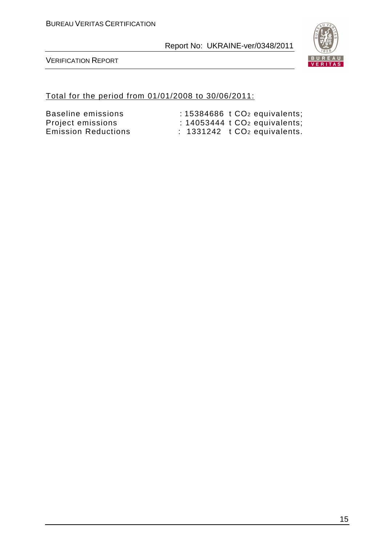

VERIFICATION REPORT

#### Total for the period from 01/01/2008 to 30/06/2011:

Baseline emissions : 15384686 t CO<sub>2</sub> equivalents; Project emissions : 14053444 t CO<sub>2</sub> equivalents;<br>Emission Reductions : 1331242 t CO<sub>2</sub> equivalents.  $\therefore$  1331242 t CO<sub>2</sub> equivalents.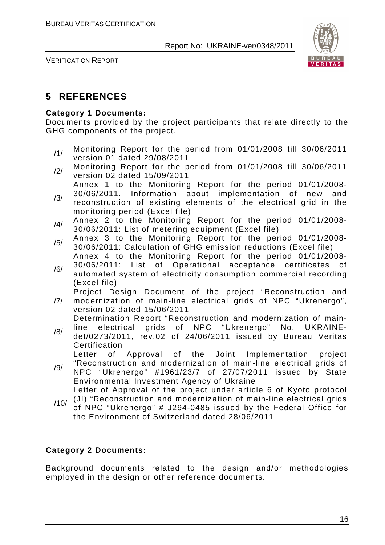

VERIFICATION REPORT

#### **5 REFERENCES**

#### **Category 1 Documents:**

Documents provided by the project participants that relate directly to the GHG components of the project.

- /1/ Monitoring Report for the period from 01/01/2008 till 30/06/2011 version 01 dated 29/08/2011
- /2/ Monitoring Report for the period from 01/01/2008 till 30/06/2011 version 02 dated 15/09/2011
- /3/ Annex 1 to the Monitoring Report for the period 01/01/2008- 30/06/2011. Information about implementation of new and reconstruction of existing elements of the electrical grid in the
	- monitoring period (Excel file)
- /4/ Annex 2 to the Monitoring Report for the period 01/01/2008-30/06/2011: List of metering equipment (Excel file)
- /5/ Annex 3 to the Monitoring Report for the period 01/01/2008-30/06/2011: Calculation of GHG emission reductions (Excel file)
- /6/ Annex 4 to the Monitoring Report for the period 01/01/2008- 30/06/2011: List of Operational acceptance certificates of automated system of electricity consumption commercial recording (Excel file)

Project Design Document of the project "Reconstruction and

/7/ modernization of main-line electrical grids of NPC "Ukrenergo", version 02 dated 15/06/2011

Determination Report "Reconstruction and modernization of mainline electrical grids of NPC "Ukrenergo" No. UKRAINE-

/8/ det/0273/2011, rev.02 of 24/06/2011 issued by Bureau Veritas Certification

Letter of Approval of the Joint Implementation project "Reconstruction and modernization of main-line electrical grids of

- /9/ NPC "Ukrenergo" #1961/23/7 of 27/07/2011 issued by State Environmental Investment Agency of Ukraine Letter of Approval of the project under article 6 of Kyoto protocol
- /10/ (JI) "Reconstruction and modernization of main-line electrical grids of NPC "Ukrenergo" # J294-0485 issued by the Federal Office for the Environment of Switzerland dated 28/06/2011

#### **Category 2 Documents:**

Background documents related to the design and/or methodologies employed in the design or other reference documents.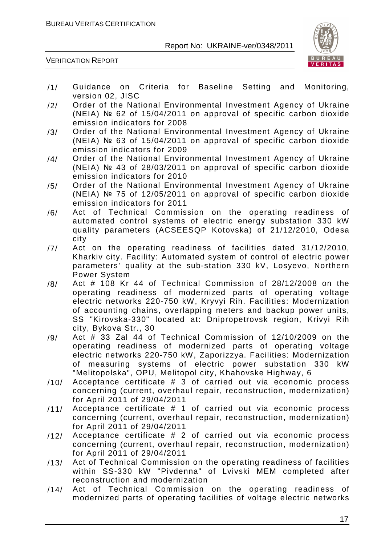

- /1/ Guidance on Criteria for Baseline Setting and Monitoring, version 02, JISC
- /2/ Order of the National Environmental Investment Agency of Ukraine (NEIA) № 62 of 15/04/2011 on approval of specific carbon dioxide emission indicators for 2008
- /3/ Order of the National Environmental Investment Agency of Ukraine (NEIA) № 63 of 15/04/2011 on approval of specific carbon dioxide emission indicators for 2009
- /4/ Order of the National Environmental Investment Agency of Ukraine (NEIA) № 43 of 28/03/2011 on approval of specific carbon dioxide emission indicators for 2010
- /5/ Order of the National Environmental Investment Agency of Ukraine (NEIA) № 75 of 12/05/2011 on approval of specific carbon dioxide emission indicators for 2011
- /6/ Act of Technical Commission on the operating readiness of automated control systems of electric energy substation 330 kW quality parameters (ACSEESQP Kotovska) of 21/12/2010, Odesa city
- /7/ Act on the operating readiness of facilities dated 31/12/2010, Kharkiv city. Facility: Automated system of control of electric power parameters' quality at the sub-station 330 kV, Losyevo, Northern Power System
- /8/ Act # 108 Kr 44 of Technical Commission of 28/12/2008 on the operating readiness of modernized parts of operating voltage electric networks 220-750 kW, Kryvyi Rih. Facilities: Modernization of accounting chains, overlapping meters and backup power units, SS "Kirovska-330" located at: Dnipropetrovsk region, Krivyi Rih city, Bykova Str., 30
- $/9/$  Act # 33 Zal 44 of Technical Commission of 12/10/2009 on the operating readiness of modernized parts of operating voltage electric networks 220-750 kW, Zaporizzya. Facilities: Modernization of measuring systems of electric power substation 330 kW "Melitopolska", OPU, Melitopol city, Khahovske Highway, 6
- /10/ Acceptance certificate # 3 of carried out via economic process concerning (current, overhaul repair, reconstruction, modernization) for April 2011 of 29/04/2011
- /11/ Acceptance certificate # 1 of carried out via economic process concerning (current, overhaul repair, reconstruction, modernization) for April 2011 of 29/04/2011
- /12/ Acceptance certificate # 2 of carried out via economic process concerning (current, overhaul repair, reconstruction, modernization) for April 2011 of 29/04/2011
- /13/ Act of Technical Commission on the operating readiness of facilities within SS-330 kW "Pivdenna" of Lvivski MEM completed after reconstruction and modernization
- /14/ Act of Technical Commission on the operating readiness of modernized parts of operating facilities of voltage electric networks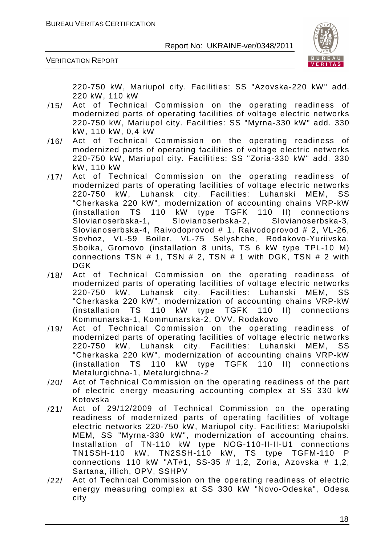

VERIFICATION REPORT

220-750 kW, Mariupol city. Facilities: SS "Azovska-220 kW" add. 220 kW, 110 kW

- /15/ Act of Technical Commission on the operating readiness of modernized parts of operating facilities of voltage electric networks 220-750 kW, Mariupol city. Facilities: SS "Myrna-330 kW" add. 330 kW, 110 kW, 0,4 kW
- /16/ Act of Technical Commission on the operating readiness of modernized parts of operating facilities of voltage electric networks 220-750 kW, Mariupol city. Facilities: SS "Zoria-330 kW" add. 330 kW, 110 kW
- /17/ Act of Technical Commission on the operating readiness of modernized parts of operating facilities of voltage electric networks 220-750 kW, Luhansk city. Facilities: Luhanski MEM, SS "Cherkaska 220 kW", modernization of accounting chains VRP-kW (installation TS 110 kW type TGFK 110 II) connections Slovianoserbska-1, Slovianoserbska-2, Slovianoserbska-3, Slovianoserbska-4, Raivodoprovod # 1, Raivodoprovod # 2, VL-26, Sovhoz, VL-59 Boiler, VL-75 Selyshche, Rodakovo-Yuriivska, Sboika, Gromovo (installation 8 units, TS 6 kW type TPL-10 M) connections TSN  $#$  1, TSN  $#$  2, TSN  $#$  1 with DGK, TSN  $#$  2 with DGK
- /18/ Act of Technical Commission on the operating readiness of modernized parts of operating facilities of voltage electric networks 220-750 kW, Luhansk city. Facilities: Luhanski MEM, SS "Cherkaska 220 kW", modernization of accounting chains VRP-kW (installation TS 110 kW type TGFK 110 II) connections Kommunarska-1, Kommunarska-2, OVV, Rodakovo
- /19/ Act of Technical Commission on the operating readiness of modernized parts of operating facilities of voltage electric networks 220-750 kW, Luhansk city. Facilities: Luhanski MEM, SS "Cherkaska 220 kW", modernization of accounting chains VRP-kW (installation TS 110 kW type TGFK 110 II) connections Metalurgichna-1, Metalurgichna-2
- /20/ Act of Technical Commission on the operating readiness of the part of electric energy measuring accounting complex at SS 330 kW Kotovska
- /21/ Act of 29/12/2009 of Technical Commission on the operating readiness of modernized parts of operating facilities of voltage electric networks 220-750 kW, Mariupol city. Facilities: Mariupolski MEM, SS "Myrna-330 kW", modernization of accounting chains. Installation of TN-110 kW type NOG-110-II-II-U1 connections TN1SSH-110 kW, TN2SSH-110 kW, TS type TGFM-110 P connections 110 kW "AT#1, SS-35 # 1,2, Zoria, Azovska # 1,2, Sartana, illich, OPV, SSHPV
- /22/ Act of Technical Commission on the operating readiness of electric energy measuring complex at SS 330 kW "Novo-Odeska", Odesa city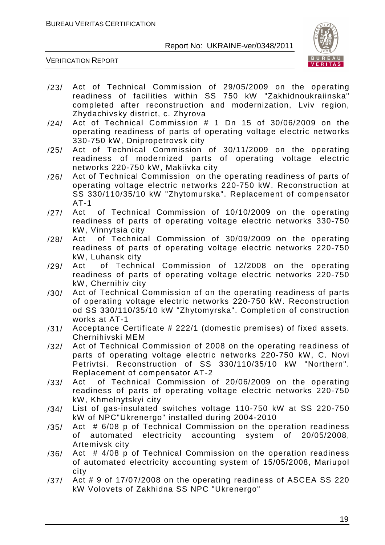

- /23/ Act of Technical Commission of 29/05/2009 on the operating readiness of facilities within SS 750 kW "Zakhidnoukraiinska" completed after reconstruction and modernization, Lviv region, Zhydachivsky district, c. Zhyrova
- $/24/$  Act of Technical Commission  $#$  1 Dn 15 of 30/06/2009 on the operating readiness of parts of operating voltage electric networks 330-750 kW, Dnipropetrovsk city
- /25/ Act of Technical Commission of 30/11/2009 on the operating readiness of modernized parts of operating voltage electric networks 220-750 kW, Makiivka city
- /26/ Act of Technical Commission on the operating readiness of parts of operating voltage electric networks 220-750 kW. Reconstruction at SS 330/110/35/10 kW "Zhytomurska". Replacement of compensator AT-1
- /27/ Act of Technical Commission of 10/10/2009 on the operating readiness of parts of operating voltage electric networks 330-750 kW, Vinnytsia city
- /28/ Act of Technical Commission of 30/09/2009 on the operating readiness of parts of operating voltage electric networks 220-750 kW, Luhansk city
- /29/ Act of Technical Commission of 12/2008 on the operating readiness of parts of operating voltage electric networks 220-750 kW, Chernihiv city
- /30/ Act of Technical Commission of on the operating readiness of parts of operating voltage electric networks 220-750 kW. Reconstruction od SS 330/110/35/10 kW "Zhytomyrska". Completion of construction works at AT-1
- /31/ Acceptance Certificate # 222/1 (domestic premises) of fixed assets. Chernihivski MEM
- /32/ Act of Technical Commission of 2008 on the operating readiness of parts of operating voltage electric networks 220-750 kW, C. Novi Petrivtsi. Reconstruction of SS 330/110/35/10 kW "Northern". Replacement of compensator AT-2
- /33/ Act of Technical Commission of 20/06/2009 on the operating readiness of parts of operating voltage electric networks 220-750 kW, Khmelnytskyi city
- /34/ List of gas-insulated switches voltage 110-750 kW at SS 220-750 kW of NPC"Ukrenergo" installed during 2004-2010
- /35/ Act # 6/08 p of Technical Commission on the operation readiness of automated electricity accounting system of 20/05/2008, Artemivsk city
- /36/ Act # 4/08 p of Technical Commission on the operation readiness of automated electricity accounting system of 15/05/2008, Mariupol city
- /37/ Act # 9 of 17/07/2008 on the operating readiness of ASCEA SS 220 kW Volovets of Zakhidna SS NPC "Ukrenergo"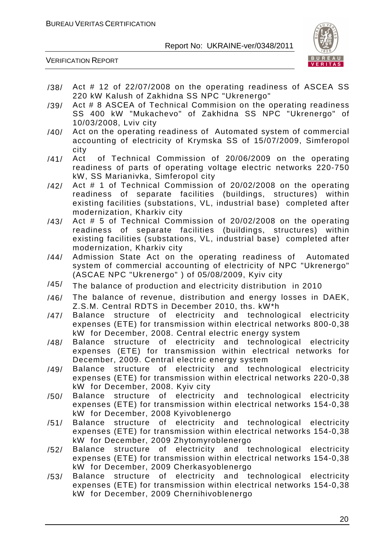

- /38/ Act # 12 of 22/07/2008 on the operating readiness of ASCEA SS 220 kW Kalush of Zakhidna SS NPC "Ukrenergo"
- /39/ Act # 8 ASCEA of Technical Commision on the operating readiness SS 400 kW "Mukachevo" of Zakhidna SS NPC "Ukrenergo" of 10/03/2008, Lviv city
- /40/ Act on the operating readiness of Automated system of commercial accounting of electricity of Krymska SS of 15/07/2009, Simferopol city
- /41/ Act of Technical Commission of 20/06/2009 on the operating readiness of parts of operating voltage electric networks 220-750 kW, SS Marianivka, Simferopol city
- /42/ Act # 1 of Technical Commission of 20/02/2008 on the operating readiness of separate facilities (buildings, structures) within existing facilities (substations, VL, industrial base) completed after modernization, Kharkiv city
- /43/ Act # 5 of Technical Commission of 20/02/2008 on the operating readiness of separate facilities (buildings, structures) within existing facilities (substations, VL, industrial base) completed after modernization, Kharkiv city
- /44/ Admission State Act on the operating readiness of Automated system of commercial accounting of electricity of NPC "Ukrenergo" (ASCAE NPC "Ukrenergo" ) of 05/08/2009, Kyiv city
- /45/ The balance of production and electricity distribution in 2010
- /46/ The balance of revenue, distribution and energy losses in DAEK, Z.S.M. Central RDTS in December 2010, ths. kW\*h
- /47/ Balance structure of electricity and technological electricity expenses (ETE) for transmission within electrical networks 800-0,38 kW for December, 2008. Central electric energy system
- /48/ Balance structure of electricity and technological electricity expenses (ETE) for transmission within electrical networks for December, 2009. Central electric energy system
- /49/ Balance structure of electricity and technological electricity expenses (ETE) for transmission within electrical networks 220-0,38 kW for December, 2008. Kyiv city
- /50/ Balance structure of electricity and technological electricity expenses (ETE) for transmission within electrical networks 154-0,38 kW for December, 2008 Kyivoblenergo
- /51/ Balance structure of electricity and technological electricity expenses (ETE) for transmission within electrical networks 154-0,38 kW for December, 2009 Zhytomyroblenergo
- /52/ Balance structure of electricity and technological electricity expenses (ETE) for transmission within electrical networks 154-0,38 kW for December, 2009 Cherkasyoblenergo
- /53/ Balance structure of electricity and technological electricity expenses (ETE) for transmission within electrical networks 154-0,38 kW for December, 2009 Chernihivoblenergo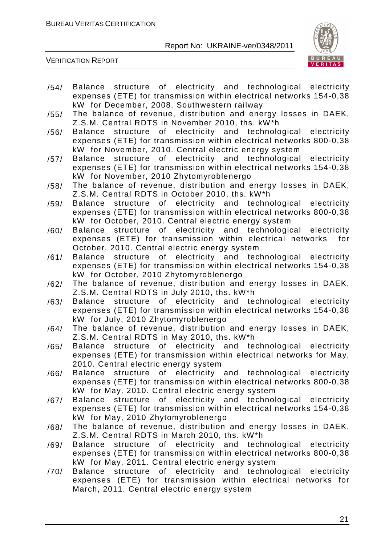

- /54/ Balance structure of electricity and technological electricity expenses (ETE) for transmission within electrical networks 154-0,38 kW for December, 2008. Southwestern railway
- /55/ The balance of revenue, distribution and energy losses in DAEK, Z.S.M. Central RDTS in November 2010, ths. kW\*h
- /56/ Balance structure of electricity and technological electricity expenses (ETE) for transmission within electrical networks 800-0,38 kW for November, 2010. Central electric energy system
- /57/ Balance structure of electricity and technological electricity expenses (ETE) for transmission within electrical networks 154-0,38 kW for November, 2010 Zhytomyroblenergo
- /58/ The balance of revenue, distribution and energy losses in DAEK, Z.S.M. Central RDTS in October 2010, ths. kW\*h
- /59/ Balance structure of electricity and technological electricity expenses (ETE) for transmission within electrical networks 800-0,38 kW for October, 2010. Central electric energy system
- /60/ Balance structure of electricity and technological electricity expenses (ETE) for transmission within electrical networks for October, 2010. Central electric energy system
- /61/ Balance structure of electricity and technological electricity expenses (ETE) for transmission within electrical networks 154-0,38 kW for October, 2010 Zhytomyroblenergo
- /62/ The balance of revenue, distribution and energy losses in DAEK, Z.S.M. Central RDTS in July 2010, ths. kW\*h
- /63/ Balance structure of electricity and technological electricity expenses (ETE) for transmission within electrical networks 154-0,38 kW for July, 2010 Zhytomyroblenergo
- /64/ The balance of revenue, distribution and energy losses in DAEK, Z.S.M. Central RDTS in May 2010, ths. kW\*h
- /65/ Balance structure of electricity and technological electricity expenses (ETE) for transmission within electrical networks for May, 2010. Central electric energy system
- /66/ Balance structure of electricity and technological electricity expenses (ETE) for transmission within electrical networks 800-0,38 kW for May, 2010. Central electric energy system
- /67/ Balance structure of electricity and technological electricity expenses (ETE) for transmission within electrical networks 154-0,38 kW for May, 2010 Zhytomyroblenergo
- /68/ The balance of revenue, distribution and energy losses in DAEK, Z.S.M. Central RDTS in March 2010, ths. kW\*h
- /69/ Balance structure of electricity and technological electricity expenses (ETE) for transmission within electrical networks 800-0,38 kW for May, 2011. Central electric energy system
- /70/ Balance structure of electricity and technological electricity expenses (ETE) for transmission within electrical networks for March, 2011. Central electric energy system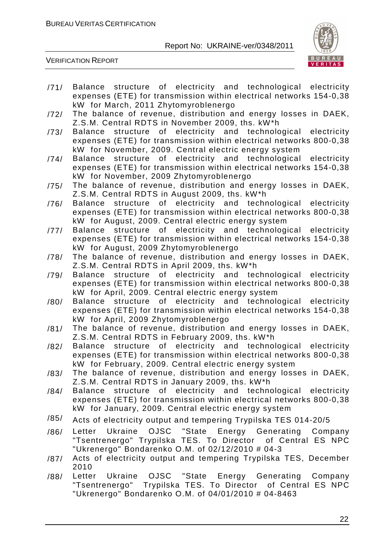

- /71/ Balance structure of electricity and technological electricity expenses (ETE) for transmission within electrical networks 154-0,38 kW for March, 2011 Zhytomyroblenergo
- /72/ The balance of revenue, distribution and energy losses in DAEK, Z.S.M. Central RDTS in November 2009, ths. kW\*h
- /73/ Balance structure of electricity and technological electricity expenses (ETE) for transmission within electrical networks 800-0,38 kW for November, 2009. Central electric energy system
- /74/ Balance structure of electricity and technological electricity expenses (ETE) for transmission within electrical networks 154-0,38 kW for November, 2009 Zhytomyroblenergo
- /75/ The balance of revenue, distribution and energy losses in DAEK, Z.S.M. Central RDTS in August 2009, ths. kW\*h
- /76/ Balance structure of electricity and technological electricity expenses (ETE) for transmission within electrical networks 800-0,38 kW for August, 2009. Central electric energy system
- /77/ Balance structure of electricity and technological electricity expenses (ETE) for transmission within electrical networks 154-0,38 kW for August, 2009 Zhytomyroblenergo
- /78/ The balance of revenue, distribution and energy losses in DAEK, Z.S.M. Central RDTS in April 2009, ths. kW\*h
- /79/ Balance structure of electricity and technological electricity expenses (ETE) for transmission within electrical networks 800-0,38 kW for April, 2009. Central electric energy system
- /80/ Balance structure of electricity and technological electricity expenses (ETE) for transmission within electrical networks 154-0,38 kW for April, 2009 Zhytomyroblenergo
- /81/ The balance of revenue, distribution and energy losses in DAEK, Z.S.M. Central RDTS in February 2009, ths. kW\*h
- /82/ Balance structure of electricity and technological electricity expenses (ETE) for transmission within electrical networks 800-0,38 kW for February, 2009. Central electric energy system
- /83/ The balance of revenue, distribution and energy losses in DAEK, Z.S.M. Central RDTS in January 2009, ths. kW\*h
- /84/ Balance structure of electricity and technological electricity expenses (ETE) for transmission within electrical networks 800-0,38 kW for January, 2009. Central electric energy system
- /85/ Acts of electricity output and tempering Trypilska TES 014-20/5
- /86/ Letter Ukraine OJSC "State Energy Generating Company "Tsentrenergo" Trypilska TES. To Director of Central ES NPC "Ukrenergo" Bondarenko O.M. of 02/12/2010 # 04-3
- /87/ Acts of electricity output and tempering Trypilska TES, December 2010
- /88/ Letter Ukraine OJSC "State Energy Generating Company "Tsentrenergo" Trypilska TES. To Director of Central ES NPC "Ukrenergo" Bondarenko O.M. of 04/01/2010 # 04-8463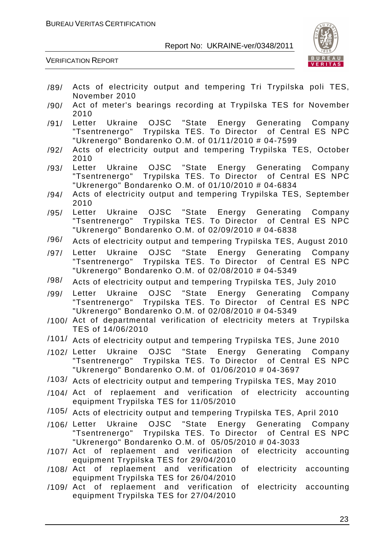

- /89/ Acts of electricity output and tempering Tri Trypilska poli TES, November 2010
- /90/ Act of meter's bearings recording at Trypilska TES for November 2010
- /91/ Letter Ukraine OJSC "State Energy Generating Company "Tsentrenergo" Trypilska TES. To Director of Central ES NPC "Ukrenergo" Bondarenko O.M. of 01/11/2010 # 04-7599
- /92/ Acts of electricity output and tempering Trypilska TES, October 2010
- /93/ Letter Ukraine OJSC "State Energy Generating Company "Tsentrenergo" Trypilska TES. To Director of Central ES NPC "Ukrenergo" Bondarenko O.M. of 01/10/2010 # 04-6834
- /94/ Acts of electricity output and tempering Trypilska TES, September 2010
- /95/ Letter Ukraine OJSC "State Energy Generating Company "Tsentrenergo" Trypilska TES. To Director of Central ES NPC "Ukrenergo" Bondarenko O.M. of 02/09/2010 # 04-6838
- /96/ Acts of electricity output and tempering Trypilska TES, August 2010
- /97/ Letter Ukraine OJSC "State Energy Generating Company "Tsentrenergo" Trypilska TES. To Director of Central ES NPC "Ukrenergo" Bondarenko O.M. of 02/08/2010 # 04-5349
- /98/ Acts of electricity output and tempering Trypilska TES, July 2010
- /99/ Letter Ukraine OJSC "State Energy Generating Company "Tsentrenergo" Trypilska TES. To Director of Central ES NPC "Ukrenergo" Bondarenko O.M. of 02/08/2010 # 04-5349
- /100/ Act of departmental verification of electricity meters at Trypilska TES of 14/06/2010
- /101/ Acts of electricity output and tempering Trypilska TES, June 2010
- /102/ Letter Ukraine OJSC "State Energy Generating Company "Tsentrenergo" Trypilska TES. To Director of Central ES NPC "Ukrenergo" Bondarenko O.M. of 01/06/2010 # 04-3697
- /103/ Acts of electricity output and tempering Trypilska TES, May 2010
- /104/ Act of replaement and verification of electricity accounting equipment Trypilska TES for 11/05/2010
- /105/ Acts of electricity output and tempering Trypilska TES, April 2010
- /106/ Letter Ukraine OJSC "State Energy Generating Company "Tsentrenergo" Trypilska TES. To Director of Central ES NPC "Ukrenergo" Bondarenko O.M. of 05/05/2010 # 04-3033
- /107/ Act of replaement and verification of electricity accounting equipment Trypilska TES for 29/04/2010
- /108/ Act of replaement and verification of electricity accounting equipment Trypilska TES for 26/04/2010
- /109/ Act of replaement and verification of electricity accounting equipment Trypilska TES for 27/04/2010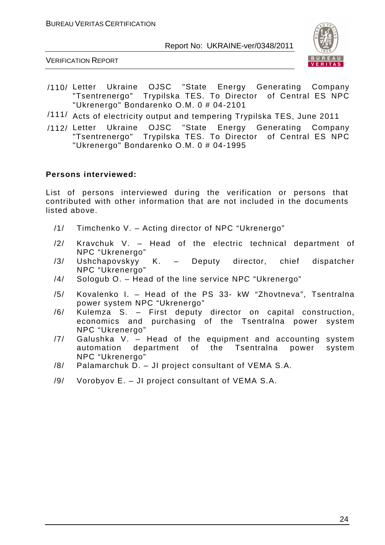

VERIFICATION REPORT

- /110/ Letter Ukraine OJSC "State Energy Generating Company "Tsentrenergo" Trypilska TES. To Director "Ukrenergo" Bondarenko O.M. 0 # 04-2101
- /111/ Acts of electricity output and tempering Trypilska TES, June 2011
- /112/ Letter Ukraine OJSC "State Energy Generating Company "Tsentrenergo" Trypilska TES. To Director of Central ES NPC "Ukrenergo" Bondarenko O.M. 0 # 04-1995

#### **Persons interviewed:**

List of persons interviewed during the verification or persons that contributed with other information that are not included in the documents listed above.

- /1/ Timchenko V. Acting director of NPC "Ukrenergo"
- /2/ Kravchuk V. Head of the electric technical department of NPC "Ukrenergo"
- /3/ Ushchapovskyy K. Deputy director, chief dispatcher NPC "Ukrenergo"
- /4/ Sologub O. Head of the line service NPC "Ukrenergo"
- /5/ Kovalenko I. Head of the PS 33- kW "Zhovtneva", Tsentralna power system NPC "Ukrenergo"
- /6/ Kulemza S. First deputy director on capital construction, economics and purchasing of the Tsentralna power system NPC "Ukrenergo"
- /7/ Galushka V. Head of the equipment and accounting system automation department of the Tsentralna power system NPC "Ukrenergo"
- /8/ Palamarchuk D. JI project consultant of VEMA S.A.
- /9/ Vorobyov E. JI project consultant of VEMA S.A.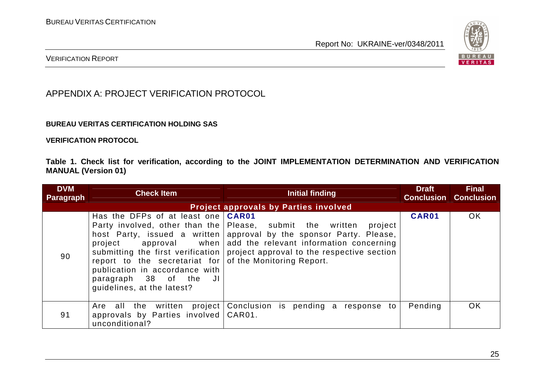

#### VERIFICATION REPORT

#### APPENDIX A: PROJECT VERIFICATION PROTOCOL

#### **BUREAU VERITAS CERTIFICATION HOLDING SAS**

**VERIFICATION PROTOCOL** 

**Table 1. Check list for verification, according to the JOINT IMPLEMENTATION DETERMINATION AND VERIFICATION MANUAL (Version 01)** 

| <b>DVM</b><br><b>Paragraph</b> | <b>Check Item</b>                                                                                                                                                                               | Initial finding                                                                                                                                                                                                                                                                                 | <b>Draft</b> | <b>Final</b><br><b>Conclusion Conclusion</b> |
|--------------------------------|-------------------------------------------------------------------------------------------------------------------------------------------------------------------------------------------------|-------------------------------------------------------------------------------------------------------------------------------------------------------------------------------------------------------------------------------------------------------------------------------------------------|--------------|----------------------------------------------|
|                                |                                                                                                                                                                                                 | <b>Project approvals by Parties involved</b>                                                                                                                                                                                                                                                    |              |                                              |
| 90                             | Has the DFPs of at least one<br>project<br>report to the secretariat for of the Monitoring Report.<br>publication in accordance with<br>paragraph 38 of the<br>JI<br>guidelines, at the latest? | CAR01<br>Party involved, other than the Please, submit the written<br>project<br>host Party, issued a written approval by the sponsor Party. Please,<br>approval when add the relevant information concerning<br>submitting the first verification   project approval to the respective section | CAR01        | OK                                           |
| 91                             | project<br>Are all the written<br>approvals by Parties involved<br>unconditional?                                                                                                               | Conclusion is pending a response to<br>CAR01.                                                                                                                                                                                                                                                   | Pending      | OK                                           |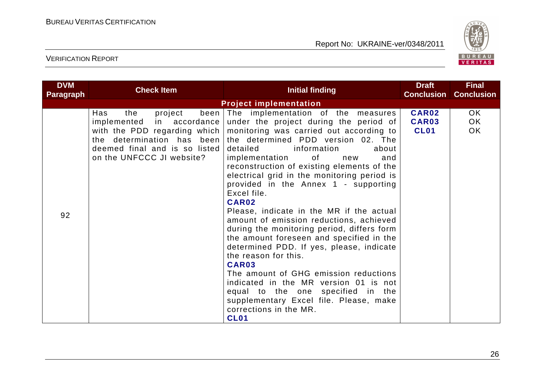

| <b>DVM</b><br><b>Paragraph</b> | <b>Check Item</b>                                                                                                                                      | <b>Initial finding</b>                                                                                                                                                                                                                                                                                                                                                                                                                                                                                                                                                                                                                                                                                                                                                                                                                                                                                                                                                                                                                            | <b>Draft</b><br><b>Conclusion</b>    | <b>Final</b><br><b>Conclusion</b> |
|--------------------------------|--------------------------------------------------------------------------------------------------------------------------------------------------------|---------------------------------------------------------------------------------------------------------------------------------------------------------------------------------------------------------------------------------------------------------------------------------------------------------------------------------------------------------------------------------------------------------------------------------------------------------------------------------------------------------------------------------------------------------------------------------------------------------------------------------------------------------------------------------------------------------------------------------------------------------------------------------------------------------------------------------------------------------------------------------------------------------------------------------------------------------------------------------------------------------------------------------------------------|--------------------------------------|-----------------------------------|
|                                | <b>Project implementation</b>                                                                                                                          |                                                                                                                                                                                                                                                                                                                                                                                                                                                                                                                                                                                                                                                                                                                                                                                                                                                                                                                                                                                                                                                   |                                      |                                   |
| 92                             | Has<br>the<br>project<br>been<br>implemented in accordance<br>the determination has been<br>deemed final and is so listed<br>on the UNFCCC JI website? | The implementation of the measures<br>under the project during the period of<br>with the PDD regarding which   monitoring was carried out according to<br>the determined PDD version 02. The<br>detailed information<br>about<br>of the contract of the contract of the contract of the contract of the contract of the contract of the contract of the contract of the contract of the contract of the contract of the contract of the contract of the contrac<br>implementation<br>and<br>new<br>reconstruction of existing elements of the<br>electrical grid in the monitoring period is<br>provided in the Annex 1 - supporting<br>Excel file.<br>CAR02<br>Please, indicate in the MR if the actual<br>amount of emission reductions, achieved<br>during the monitoring period, differs form<br>the amount foreseen and specified in the<br>determined PDD. If yes, please, indicate<br>the reason for this.<br>CAR03<br>The amount of GHG emission reductions<br>indicated in the MR version 01 is not<br>equal to the one specified in the | <b>CAR02</b><br>CAR03<br><b>CL01</b> | OK.<br>OK<br>OK                   |
|                                |                                                                                                                                                        | supplementary Excel file. Please, make<br>corrections in the MR.<br><b>CL01</b>                                                                                                                                                                                                                                                                                                                                                                                                                                                                                                                                                                                                                                                                                                                                                                                                                                                                                                                                                                   |                                      |                                   |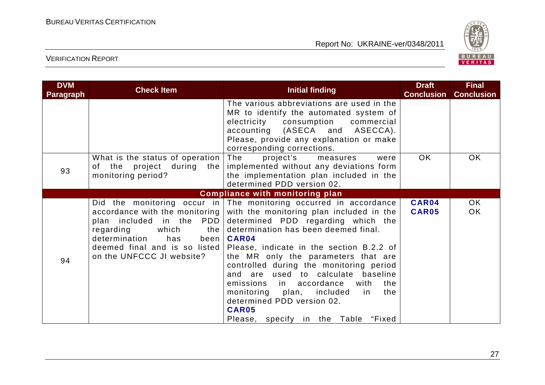

| <b>DVM</b><br>Paragraph | <b>Check Item</b>                                              | Initial finding                                                                                                                                                                                                                                                                                                                                                                                                                                                                                                                                                                                                                                         | <b>Draft</b><br><b>Conclusion</b> | <b>Final</b><br><b>Conclusion</b> |
|-------------------------|----------------------------------------------------------------|---------------------------------------------------------------------------------------------------------------------------------------------------------------------------------------------------------------------------------------------------------------------------------------------------------------------------------------------------------------------------------------------------------------------------------------------------------------------------------------------------------------------------------------------------------------------------------------------------------------------------------------------------------|-----------------------------------|-----------------------------------|
|                         |                                                                | The various abbreviations are used in the<br>MR to identify the automated system of<br>electricity consumption commercial<br>accounting (ASECA and ASECCA).<br>Please, provide any explanation or make<br>corresponding corrections.                                                                                                                                                                                                                                                                                                                                                                                                                    |                                   |                                   |
| 93                      | What is the status of operation<br>monitoring period?          | The<br>project's<br>measures<br>were<br>of the project during the   implemented without any deviations form<br>the implementation plan included in the<br>determined PDD version 02.                                                                                                                                                                                                                                                                                                                                                                                                                                                                    | OK                                | OK.                               |
|                         |                                                                | <b>Compliance with monitoring plan</b>                                                                                                                                                                                                                                                                                                                                                                                                                                                                                                                                                                                                                  |                                   |                                   |
| 94                      | regarding<br>determination<br>has<br>on the UNFCCC JI website? | Did the monitoring occur in The monitoring occurred in accordance<br>accordance with the monitoring with the monitoring plan included in the<br>plan included in the PDD determined PDD regarding which the<br>which $the$ determination has been deemed final.<br>been   CAR04<br>deemed final and is so listed Please, indicate in the section B.2.2 of<br>the MR only the parameters that are<br>controlled during the monitoring period<br>and are used to calculate baseline<br>emissions in accordance<br>with<br>the<br>monitoring plan, included in<br>the<br>determined PDD version 02.<br><b>CAR05</b><br>Please, specify in the Table "Fixed | CAR04<br><b>CAR05</b>             | OK.<br>OK                         |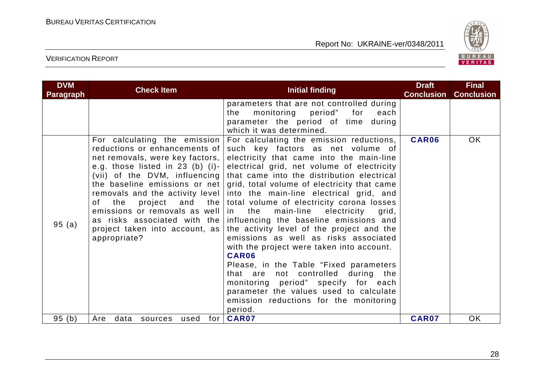

| <b>DVM</b>       | <b>Check Item</b>                                                                                                                                                                                                                                    | <b>Initial finding</b>                                                                                                                                                                                                                                                                                                                                                                                                                                                                                                                                                                                                                             | <b>Draft</b>               | <b>Final</b>             |
|------------------|------------------------------------------------------------------------------------------------------------------------------------------------------------------------------------------------------------------------------------------------------|----------------------------------------------------------------------------------------------------------------------------------------------------------------------------------------------------------------------------------------------------------------------------------------------------------------------------------------------------------------------------------------------------------------------------------------------------------------------------------------------------------------------------------------------------------------------------------------------------------------------------------------------------|----------------------------|--------------------------|
| <b>Paragraph</b> | For calculating the emission<br>reductions or enhancements of<br>net removals, were key factors,<br>e.g. those listed in 23 (b) (i)-                                                                                                                 | parameters that are not controlled during<br>monitoring period" for<br>the<br>each<br>parameter the period of time during<br>which it was determined.<br>For calculating the emission reductions,<br>such key factors as net volume of<br>electricity that came into the main-line<br>electrical grid, net volume of electricity                                                                                                                                                                                                                                                                                                                   | <b>Conclusion</b><br>CAR06 | <b>Conclusion</b><br>OK. |
| 95(a)            | (vii) of the $DVM$ , influencing<br>the baseline emissions or net<br>removals and the activity level<br>project and the<br>of the<br>emissions or removals as well<br>as risks associated with the<br>project taken into account, as<br>appropriate? | that came into the distribution electrical<br>grid, total volume of electricity that came<br>into the main-line electrical grid, and<br>total volume of electricity corona losses<br>main-line<br>electricity<br>the<br>in l<br>grid,<br>influencing the baseline emissions and<br>the activity level of the project and the<br>emissions as well as risks associated<br>with the project were taken into account.<br>CAR06<br>Please, in the Table "Fixed parameters"<br>that are not controlled during the<br>monitoring period" specify for each<br>parameter the values used to calculate<br>emission reductions for the monitoring<br>period. |                            |                          |
| 95(b)            | data<br>for<br>Are<br>used<br>sources                                                                                                                                                                                                                | CAR07                                                                                                                                                                                                                                                                                                                                                                                                                                                                                                                                                                                                                                              | CAR07                      | <b>OK</b>                |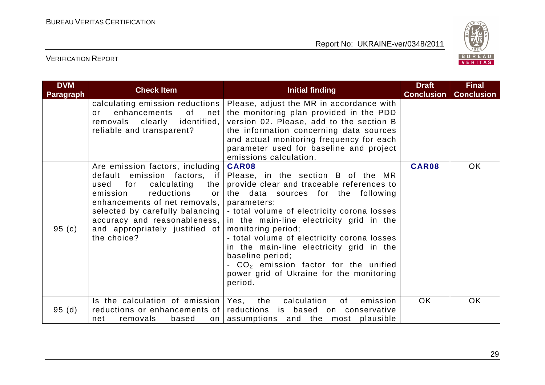

| <b>DVM</b><br><b>Paragraph</b> | <b>Check Item</b>                                                                                                                                                                                                                                   | <b>Initial finding</b>                                                                                                                                                                                                                                                                                                                                                                                                                                                                                            | <b>Draft</b><br><b>Conclusion</b> | <b>Final</b><br><b>Conclusion</b> |
|--------------------------------|-----------------------------------------------------------------------------------------------------------------------------------------------------------------------------------------------------------------------------------------------------|-------------------------------------------------------------------------------------------------------------------------------------------------------------------------------------------------------------------------------------------------------------------------------------------------------------------------------------------------------------------------------------------------------------------------------------------------------------------------------------------------------------------|-----------------------------------|-----------------------------------|
|                                | calculating emission reductions  <br>enhancements<br>of<br>net<br>or<br>removals clearly identified,<br>reliable and transparent?                                                                                                                   | Please, adjust the MR in accordance with<br>the monitoring plan provided in the PDD<br>version 02. Please, add to the section B<br>the information concerning data sources<br>and actual monitoring frequency for each<br>parameter used for baseline and project<br>emissions calculation.                                                                                                                                                                                                                       |                                   |                                   |
| 95 $(c)$                       | Are emission factors, including<br>default emission factors, if<br>calculating<br>used for<br>the<br>emission<br>reductions<br>or<br>enhancements of net removals,<br>accuracy and reasonableness,<br>and appropriately justified of<br>the choice? | CAR08<br>Please, in the section B of the MR<br>provide clear and traceable references to<br>the data sources for the following<br>parameters:<br>selected by carefully balancing   - total volume of electricity corona losses<br>in the main-line electricity grid in the<br>monitoring period;<br>- total volume of electricity corona losses<br>in the main-line electricity grid in the<br>baseline period;<br>- $CO2$ emission factor for the unified<br>power grid of Ukraine for the monitoring<br>period. | CAR08                             | OK.                               |
| 95(d)                          | Is the calculation of emission<br>reductions or enhancements of<br>removals<br>net<br>based<br>on <sub>l</sub>                                                                                                                                      | emission<br>calculation<br>Yes,<br>the<br>0f<br>reductions is based on conservative<br>assumptions and the most plausible                                                                                                                                                                                                                                                                                                                                                                                         | <b>OK</b>                         | OK.                               |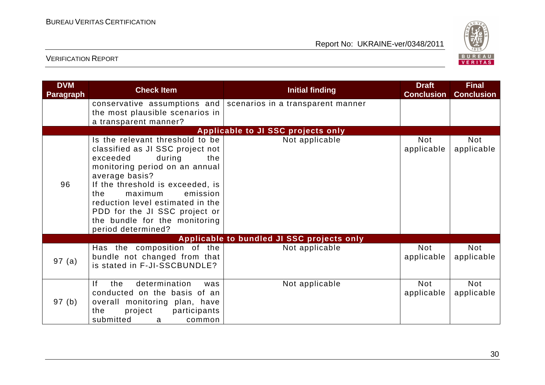

| <b>DVM</b><br><b>Paragraph</b> | <b>Check Item</b>                                                                                                                                                                                                                                                                                                                                  | <b>Initial finding</b>                                         | <b>Draft</b><br><b>Conclusion</b> | <b>Final</b><br><b>Conclusion</b> |
|--------------------------------|----------------------------------------------------------------------------------------------------------------------------------------------------------------------------------------------------------------------------------------------------------------------------------------------------------------------------------------------------|----------------------------------------------------------------|-----------------------------------|-----------------------------------|
|                                | the most plausible scenarios in<br>a transparent manner?                                                                                                                                                                                                                                                                                           | conservative assumptions and scenarios in a transparent manner |                                   |                                   |
|                                |                                                                                                                                                                                                                                                                                                                                                    | Applicable to JI SSC projects only                             |                                   |                                   |
| 96                             | Is the relevant threshold to be<br>classified as JI SSC project not<br>exceeded<br>during<br>the<br>monitoring period on an annual<br>average basis?<br>If the threshold is exceeded, is<br>the<br>maximum<br>emission<br>reduction level estimated in the<br>PDD for the JI SSC project or<br>the bundle for the monitoring<br>period determined? | Not applicable                                                 | <b>Not</b><br>applicable          | Not<br>applicable                 |
|                                |                                                                                                                                                                                                                                                                                                                                                    | Applicable to bundled JI SSC projects only                     |                                   |                                   |
| 97(a)                          | Has the composition of the<br>bundle not changed from that<br>is stated in F-JI-SSCBUNDLE?                                                                                                                                                                                                                                                         | Not applicable                                                 | Not<br>applicable                 | <b>Not</b><br>applicable          |
| 97 (b)                         | determination<br><sup>1</sup><br>the<br>was<br>conducted on the basis of an<br>overall monitoring plan, have<br>participants<br>the<br>project<br>submitted<br>common<br>a                                                                                                                                                                         | Not applicable                                                 | <b>Not</b><br>applicable          | <b>Not</b><br>applicable          |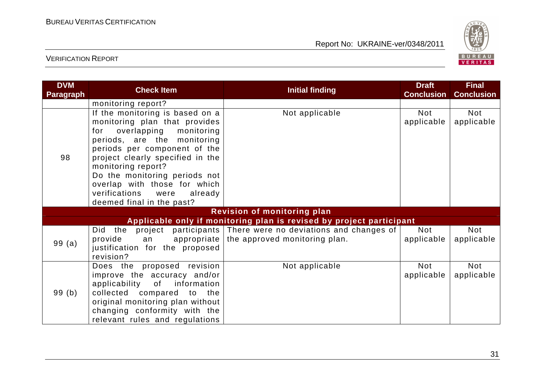

| <b>DVM</b><br><b>Paragraph</b> | <b>Check Item</b>                                                                                                                                                                                                                                                                                                                                      | <b>Initial finding</b>                                                                                | <b>Draft</b><br><b>Conclusion</b> | <b>Final</b><br><b>Conclusion</b> |
|--------------------------------|--------------------------------------------------------------------------------------------------------------------------------------------------------------------------------------------------------------------------------------------------------------------------------------------------------------------------------------------------------|-------------------------------------------------------------------------------------------------------|-----------------------------------|-----------------------------------|
|                                | monitoring report?                                                                                                                                                                                                                                                                                                                                     |                                                                                                       |                                   |                                   |
| 98                             | If the monitoring is based on a<br>monitoring plan that provides<br>for overlapping monitoring<br>periods, are the monitoring<br>periods per component of the<br>project clearly specified in the<br>monitoring report?<br>Do the monitoring periods not<br>overlap with those for which<br>verifications were<br>already<br>deemed final in the past? | Not applicable                                                                                        | Not<br>applicable                 | Not<br>applicable                 |
|                                |                                                                                                                                                                                                                                                                                                                                                        | <b>Revision of monitoring plan</b>                                                                    |                                   |                                   |
|                                |                                                                                                                                                                                                                                                                                                                                                        | Applicable only if monitoring plan is revised by project participant                                  |                                   |                                   |
| 99(a)                          | provide<br>appropriate<br>an<br>justification for the proposed<br>revision?                                                                                                                                                                                                                                                                            | Did the project participants There were no deviations and changes of<br>the approved monitoring plan. | Not<br>applicable                 | <b>Not</b><br>applicable          |
| 99(b)                          | Does the proposed revision<br>improve the accuracy and/or<br>applicability<br>of information<br>collected compared to the<br>original monitoring plan without<br>changing conformity with the<br>relevant rules and regulations                                                                                                                        | Not applicable                                                                                        | Not<br>applicable                 | Not<br>applicable                 |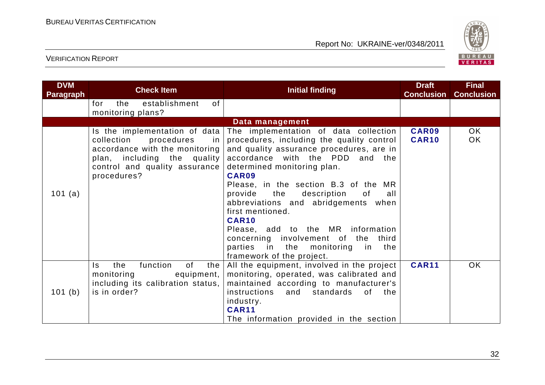

| <b>DVM</b><br><b>Paragraph</b> | <b>Check Item</b>                                                                                                                                                                 | <b>Initial finding</b>                                                                                                                                                                                                                                                                                                                                                                                                                                                                                               | <b>Draft</b><br><b>Conclusion</b> | <b>Final</b><br><b>Conclusion</b> |
|--------------------------------|-----------------------------------------------------------------------------------------------------------------------------------------------------------------------------------|----------------------------------------------------------------------------------------------------------------------------------------------------------------------------------------------------------------------------------------------------------------------------------------------------------------------------------------------------------------------------------------------------------------------------------------------------------------------------------------------------------------------|-----------------------------------|-----------------------------------|
|                                | establishment<br>of<br>the<br>for<br>monitoring plans?                                                                                                                            |                                                                                                                                                                                                                                                                                                                                                                                                                                                                                                                      |                                   |                                   |
|                                |                                                                                                                                                                                   | Data management                                                                                                                                                                                                                                                                                                                                                                                                                                                                                                      |                                   |                                   |
| 101 (a)                        | Is the implementation of data<br>collection<br>procedures<br>-in<br>accordance with the monitoring<br>plan, including the quality<br>control and quality assurance<br>procedures? | The implementation of data collection<br>procedures, including the quality control<br>and quality assurance procedures, are in<br>accordance with the PDD and the<br>determined monitoring plan.<br>CAR09<br>Please, in the section B.3 of the MR<br>provide the description<br>of<br>all<br>abbreviations and abridgements when<br>first mentioned.<br><b>CAR10</b><br>Please, add to the MR information<br>concerning involvement of the<br>third<br>parties in the monitoring in the<br>framework of the project. | <b>CAR09</b><br><b>CAR10</b>      | OK<br><b>OK</b>                   |
| 101(b)                         | function<br>the<br>0f<br>the<br>Is.<br>equipment,<br>monitoring<br>including its calibration status,<br>is in order?                                                              | All the equipment, involved in the project<br>monitoring, operated, was calibrated and<br>maintained according to manufacturer's<br>instructions<br>and standards of the<br>industry.<br><b>CAR11</b><br>The information provided in the section                                                                                                                                                                                                                                                                     | <b>CAR11</b>                      | <b>OK</b>                         |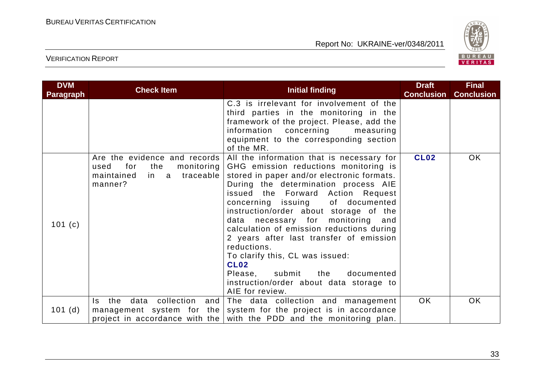

| <b>DVM</b><br><b>Paragraph</b> | <b>Check Item</b>                                                                                             | <b>Initial finding</b>                                                                                                                                                                                                                                                                                                                                                                                                                                                                                                                                                                            | <b>Draft</b><br><b>Conclusion</b> | <b>Final</b><br><b>Conclusion</b> |
|--------------------------------|---------------------------------------------------------------------------------------------------------------|---------------------------------------------------------------------------------------------------------------------------------------------------------------------------------------------------------------------------------------------------------------------------------------------------------------------------------------------------------------------------------------------------------------------------------------------------------------------------------------------------------------------------------------------------------------------------------------------------|-----------------------------------|-----------------------------------|
|                                |                                                                                                               | C.3 is irrelevant for involvement of the<br>third parties in the monitoring in the<br>framework of the project. Please, add the<br>information concerning<br>measuring<br>equipment to the corresponding section<br>of the MR.                                                                                                                                                                                                                                                                                                                                                                    |                                   |                                   |
| 101 $(c)$                      | Are the evidence and records<br>used<br>for<br>the<br>monitoring  <br>in a traceable<br>maintained<br>manner? | All the information that is necessary for<br>GHG emission reductions monitoring is<br>stored in paper and/or electronic formats.<br>During the determination process AIE<br>issued the Forward Action Request<br>concerning issuing<br>of documented<br>instruction/order about storage of the<br>data necessary for monitoring and<br>calculation of emission reductions during<br>2 years after last transfer of emission<br>reductions.<br>To clarify this, CL was issued:<br><b>CL02</b><br>Please, submit<br>documented<br>the<br>instruction/order about data storage to<br>AIE for review. | <b>CL02</b>                       | OK.                               |
| 101(d)                         | collection and<br>the<br>data<br>Is.<br>management system for the                                             | The data collection and management<br>system for the project is in accordance<br>project in accordance with the with the PDD and the monitoring plan.                                                                                                                                                                                                                                                                                                                                                                                                                                             | <b>OK</b>                         | <b>OK</b>                         |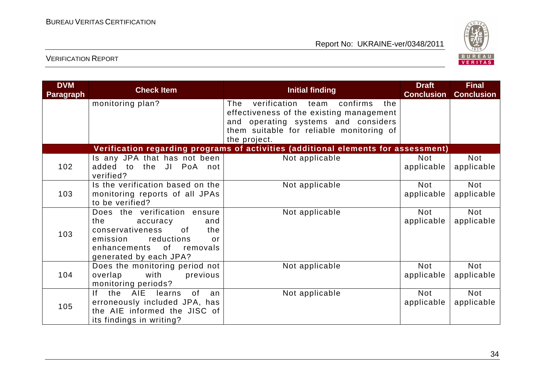

| <b>DVM</b><br><b>Paragraph</b> | <b>Check Item</b>                                                                                                                                                             | <b>Initial finding</b>                                                                                                                                                                  | <b>Draft</b><br><b>Conclusion</b> | <b>Final</b><br><b>Conclusion</b> |
|--------------------------------|-------------------------------------------------------------------------------------------------------------------------------------------------------------------------------|-----------------------------------------------------------------------------------------------------------------------------------------------------------------------------------------|-----------------------------------|-----------------------------------|
|                                | monitoring plan?                                                                                                                                                              | verification team confirms<br>The<br>the<br>effectiveness of the existing management<br>and operating systems and considers<br>them suitable for reliable monitoring of<br>the project. |                                   |                                   |
|                                |                                                                                                                                                                               | Verification regarding programs of activities (additional elements for assessment)                                                                                                      |                                   |                                   |
| 102                            | Is any JPA that has not been<br>added to the JI PoA not<br>verified?                                                                                                          | Not applicable                                                                                                                                                                          | <b>Not</b><br>applicable          | <b>Not</b><br>applicable          |
| 103                            | Is the verification based on the<br>monitoring reports of all JPAs<br>to be verified?                                                                                         | Not applicable                                                                                                                                                                          | <b>Not</b><br>applicable          | <b>Not</b><br>applicable          |
| 103                            | Does the verification ensure<br>the<br>accuracy<br>and<br>conservativeness<br>the<br>0f<br>reductions<br>emission<br>or<br>enhancements of removals<br>generated by each JPA? | Not applicable                                                                                                                                                                          | <b>Not</b><br>applicable          | <b>Not</b><br>applicable          |
| 104                            | Does the monitoring period not<br>with<br>overlap<br>previous<br>monitoring periods?                                                                                          | Not applicable                                                                                                                                                                          | <b>Not</b><br>applicable          | <b>Not</b><br>applicable          |
| 105                            | the AIE learns<br>lf.<br>0f<br>an<br>erroneously included JPA, has<br>the AIE informed the JISC of<br>its findings in writing?                                                | Not applicable                                                                                                                                                                          | <b>Not</b><br>applicable          | <b>Not</b><br>applicable          |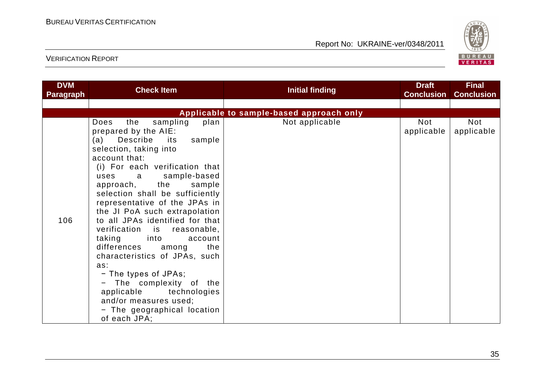

| <b>DVM</b><br><b>Paragraph</b> | <b>Check Item</b>                                                                                                                                                                                                                                                                                                                                                                                                                                                                                                                                                                                                                                                         | Initial finding                          | <b>Draft</b><br><b>Conclusion</b> | <b>Final</b><br><b>Conclusion</b> |
|--------------------------------|---------------------------------------------------------------------------------------------------------------------------------------------------------------------------------------------------------------------------------------------------------------------------------------------------------------------------------------------------------------------------------------------------------------------------------------------------------------------------------------------------------------------------------------------------------------------------------------------------------------------------------------------------------------------------|------------------------------------------|-----------------------------------|-----------------------------------|
|                                |                                                                                                                                                                                                                                                                                                                                                                                                                                                                                                                                                                                                                                                                           |                                          |                                   |                                   |
|                                |                                                                                                                                                                                                                                                                                                                                                                                                                                                                                                                                                                                                                                                                           | Applicable to sample-based approach only |                                   |                                   |
| 106                            | sampling<br>Does<br>the<br>plan<br>prepared by the AIE:<br>Describe<br>sample<br>(a)<br>its<br>selection, taking into<br>account that:<br>(i) For each verification that<br>sample-based<br>uses<br>a<br>approach, the<br>sample<br>selection shall be sufficiently<br>representative of the JPAs in<br>the JI PoA such extrapolation<br>to all JPAs identified for that<br>verification is<br>reasonable,<br>taking<br>into into<br>account<br>differences<br>the<br>among<br>characteristics of JPAs, such<br>as:<br>- The types of JPAs;<br>- The complexity of the<br>applicable technologies<br>and/or measures used;<br>- The geographical location<br>of each JPA; | Not applicable                           | <b>Not</b><br>applicable          | Not<br>applicable                 |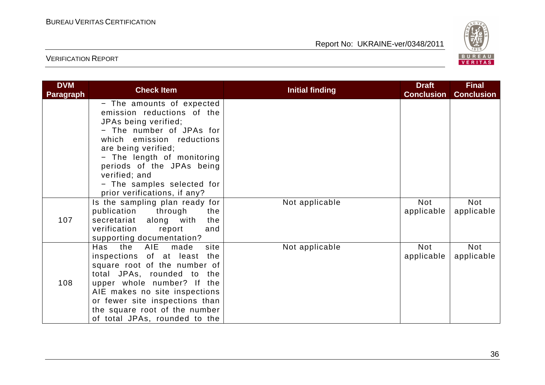

| <b>DVM</b><br><b>Paragraph</b> | <b>Check Item</b>                                                                                                                                                                                                                                                                                         | <b>Initial finding</b> | <b>Draft</b><br><b>Conclusion</b> | <b>Final</b><br><b>Conclusion</b> |
|--------------------------------|-----------------------------------------------------------------------------------------------------------------------------------------------------------------------------------------------------------------------------------------------------------------------------------------------------------|------------------------|-----------------------------------|-----------------------------------|
|                                | - The amounts of expected<br>emission reductions of the<br>JPAs being verified;<br>- The number of JPAs for<br>which emission reductions<br>are being verified;<br>- The length of monitoring<br>periods of the JPAs being<br>verified; and<br>- The samples selected for<br>prior verifications, if any? |                        |                                   |                                   |
| 107                            | Is the sampling plan ready for<br>publication<br>through<br>the<br>secretariat along with<br>the<br>verification<br>report<br>and<br>supporting documentation?                                                                                                                                            | Not applicable         | Not<br>applicable                 | Not<br>applicable                 |
| 108                            | the AIE made<br>Has<br>site<br>inspections of at least<br>the<br>square root of the number of<br>total JPAs, rounded to the<br>upper whole number? If the<br>AIE makes no site inspections<br>or fewer site inspections than<br>the square root of the number<br>of total JPAs, rounded to the            | Not applicable         | <b>Not</b><br>applicable          | Not<br>applicable                 |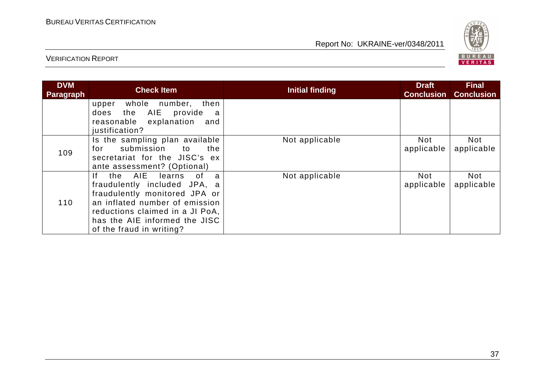

| <b>DVM</b><br><b>Paragraph</b> | <b>Check Item</b>                                                                                                                                                                                                                                 | <b>Initial finding</b> | <b>Draft</b><br><b>Conclusion</b> | <b>Final</b><br><b>Conclusion</b> |
|--------------------------------|---------------------------------------------------------------------------------------------------------------------------------------------------------------------------------------------------------------------------------------------------|------------------------|-----------------------------------|-----------------------------------|
|                                | whole number, then<br>upper<br>the AIE<br>provide<br>does<br>a<br>reasonable explanation<br>and<br>justification?                                                                                                                                 |                        |                                   |                                   |
| 109                            | Is the sampling plan available<br>submission to<br>the<br>for<br>secretariat for the JISC's ex<br>ante assessment? (Optional)                                                                                                                     | Not applicable         | Not<br>applicable                 | <b>Not</b><br>applicable          |
| 110                            | the AIE<br>learns<br>0f<br>lf.<br>$\mathbf{a}$<br>fraudulently included JPA, a<br>fraudulently monitored JPA or<br>an inflated number of emission<br>reductions claimed in a JI PoA,<br>has the AIE informed the JISC<br>of the fraud in writing? | Not applicable         | Not<br>applicable                 | <b>Not</b><br>applicable          |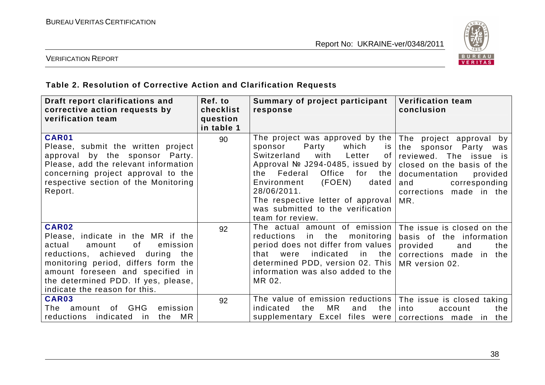

#### VERIFICATION REPORT

#### **Table 2. Resolution of Corrective Action and Clarification Requests**

| Draft report clarifications and<br>corrective action requests by<br>verification team                                                                                                                                                                                         | Ref. to<br>checklist<br>question<br>in table 1 | Summary of project participant<br>response                                                                                                                                                                                                                                                                                              | <b>Verification team</b><br>conclusion                                                                                                                                                          |
|-------------------------------------------------------------------------------------------------------------------------------------------------------------------------------------------------------------------------------------------------------------------------------|------------------------------------------------|-----------------------------------------------------------------------------------------------------------------------------------------------------------------------------------------------------------------------------------------------------------------------------------------------------------------------------------------|-------------------------------------------------------------------------------------------------------------------------------------------------------------------------------------------------|
| <b>CAR01</b><br>Please, submit the written project<br>approval by the sponsor Party.<br>Please, add the relevant information<br>concerning project approval to the<br>respective section of the Monitoring<br>Report.                                                         | 90                                             | The project was approved by the<br>Party<br>which<br>sponsor<br><b>IS</b><br>Switzerland<br>with<br>Letter<br>0f.<br>Approval № J294-0485, issued by<br>the Federal<br>Office for<br>the<br>(FOEN)<br>Environment<br>dated<br>28/06/2011.<br>The respective letter of approval<br>was submitted to the verification<br>team for review. | The project approval by<br>the sponsor Party was<br>reviewed. The issue is<br>closed on the basis of the<br>documentation<br>provided<br>corresponding<br>and<br>corrections made in the<br>MR. |
| <b>CAR02</b><br>Please, indicate in the MR if the<br>emission<br>actual<br>amount<br>0f<br>reductions, achieved during the<br>monitoring period, differs form the<br>amount foreseen and specified in<br>the determined PDD. If yes, please,<br>indicate the reason for this. | 92                                             | The actual amount of emission<br>reductions<br>the<br>monitoring<br>in<br>period does not differ from values<br>indicated<br>were<br>in the<br>that<br>determined PDD, version 02. This<br>information was also added to the<br>MR 02.                                                                                                  | The issue is closed on the<br>basis of the information<br>provided<br>the<br>and<br>corrections made in the<br>MR version 02.                                                                   |
| <b>CAR03</b><br>of GHG<br>emission<br>The<br>amount<br>the MR<br>reductions<br>indicated in                                                                                                                                                                                   | 92                                             | The value of emission reductions<br>MR.<br>the<br>indicated<br>and<br>the<br>supplementary Excel files were                                                                                                                                                                                                                             | The issue is closed taking<br>into<br>the<br>account<br>corrections made in the                                                                                                                 |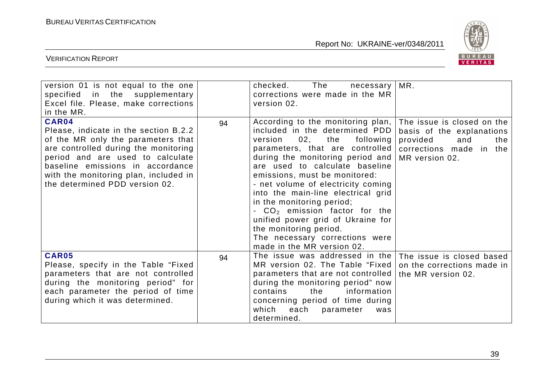

| version 01 is not equal to the one<br>specified in the supplementary<br>Excel file. Please, make corrections<br>in the MR.                                                                                                                                                      |    | The<br>checked.<br>necessary<br>corrections were made in the MR<br>version 02.                                                                                                                                                                                                                                                                                                                                                                                                                                                 | MR.                                                                                                                            |
|---------------------------------------------------------------------------------------------------------------------------------------------------------------------------------------------------------------------------------------------------------------------------------|----|--------------------------------------------------------------------------------------------------------------------------------------------------------------------------------------------------------------------------------------------------------------------------------------------------------------------------------------------------------------------------------------------------------------------------------------------------------------------------------------------------------------------------------|--------------------------------------------------------------------------------------------------------------------------------|
| CAR04<br>Please, indicate in the section B.2.2<br>of the MR only the parameters that<br>are controlled during the monitoring<br>period and are used to calculate<br>baseline emissions in accordance<br>with the monitoring plan, included in<br>the determined PDD version 02. | 94 | According to the monitoring plan,<br>included in the determined PDD<br>02,<br>the<br>following<br>version<br>parameters, that are controlled<br>during the monitoring period and<br>are used to calculate baseline<br>emissions, must be monitored:<br>- net volume of electricity coming<br>into the main-line electrical grid<br>in the monitoring period;<br>- $CO2$ emission factor for the<br>unified power grid of Ukraine for<br>the monitoring period.<br>The necessary corrections were<br>made in the MR version 02. | The issue is closed on the<br>basis of the explanations<br>provided<br>the<br>and<br>corrections made in the<br>MR version 02. |
| <b>CAR05</b><br>Please, specify in the Table "Fixed<br>parameters that are not controlled<br>during the monitoring period" for<br>each parameter the period of time<br>during which it was determined.                                                                          | 94 | The issue was addressed in the<br>MR version 02. The Table "Fixed"<br>parameters that are not controlled<br>during the monitoring period" now<br>contains<br>the<br>information<br>concerning period of time during<br>which<br>each<br>parameter<br>was<br>determined.                                                                                                                                                                                                                                                        | The issue is closed based<br>on the corrections made in<br>the MR version 02.                                                  |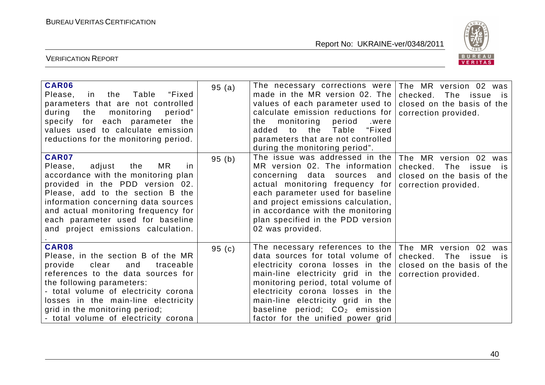

| CAR06<br>Table<br>Please,<br>in the<br>"Fixed<br>parameters that are not controlled<br>the<br>monitoring<br>period"<br>during<br>specify for each parameter the<br>values used to calculate emission<br>reductions for the monitoring period.                                                                                | 95(a) | The necessary corrections were<br>made in the MR version 02. The<br>values of each parameter used to<br>calculate emission reductions for<br>the monitoring<br>period<br>.were<br>added to the Table "Fixed<br>parameters that are not controlled<br>during the monitoring period".                                                 | The MR version 02 was<br>checked. The issue is<br>closed on the basis of the<br>correction provided.         |
|------------------------------------------------------------------------------------------------------------------------------------------------------------------------------------------------------------------------------------------------------------------------------------------------------------------------------|-------|-------------------------------------------------------------------------------------------------------------------------------------------------------------------------------------------------------------------------------------------------------------------------------------------------------------------------------------|--------------------------------------------------------------------------------------------------------------|
| <b>CAR07</b><br>MR.<br>Please,<br>adjust<br>the<br>in.<br>accordance with the monitoring plan<br>provided in the PDD version 02.<br>Please, add to the section B the<br>information concerning data sources<br>and actual monitoring frequency for<br>each parameter used for baseline<br>and project emissions calculation. | 95(b) | The issue was addressed in the<br>MR version 02. The information<br>concerning data sources and<br>actual monitoring frequency for<br>each parameter used for baseline<br>and project emissions calculation,<br>in accordance with the monitoring<br>plan specified in the PDD version<br>02 was provided.                          | The MR version 02 was<br>checked. The issue is<br>closed on the basis of the<br>correction provided.         |
| <b>CAR08</b><br>Please, in the section B of the MR<br>provide<br>clear<br>and<br>traceable<br>references to the data sources for<br>the following parameters:<br>- total volume of electricity corona<br>losses in the main-line electricity<br>grid in the monitoring period;<br>- total volume of electricity corona       | 95(c) | The necessary references to the<br>data sources for total volume of<br>electricity corona losses in the<br>main-line electricity grid in the<br>monitoring period, total volume of<br>electricity corona losses in the<br>main-line electricity grid in the<br>baseline period; $CO2$ emission<br>factor for the unified power grid | The MR version 02 was<br>checked.<br>The issue<br>is i<br>closed on the basis of the<br>correction provided. |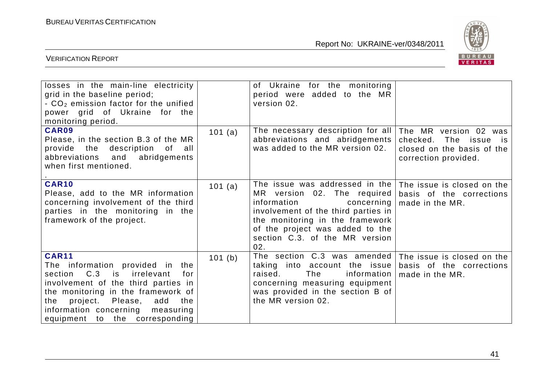

| losses in the main-line electricity<br>grid in the baseline period;<br>$-$ CO <sub>2</sub> emission factor for the unified<br>power grid of Ukraine for the<br>monitoring period.                                                                                                     |         | of Ukraine for the monitoring<br>period were added to the MR<br>version 02.                                                                                                                                                                                                     |                                                                                                         |
|---------------------------------------------------------------------------------------------------------------------------------------------------------------------------------------------------------------------------------------------------------------------------------------|---------|---------------------------------------------------------------------------------------------------------------------------------------------------------------------------------------------------------------------------------------------------------------------------------|---------------------------------------------------------------------------------------------------------|
| CAR09<br>Please, in the section B.3 of the MR<br>provide the description of all<br>abbreviations and<br>abridgements<br>when first mentioned.                                                                                                                                         | 101 (a) | The necessary description for all<br>abbreviations and abridgements<br>was added to the MR version 02.                                                                                                                                                                          | The MR version 02 was<br>The issue is<br>checked.<br>closed on the basis of the<br>correction provided. |
| <b>CAR10</b><br>Please, add to the MR information<br>concerning involvement of the third<br>parties in the monitoring in the<br>framework of the project.                                                                                                                             | 101 (a) | The issue was addressed in the   The issue is closed on the  <br>MR version 02. The required<br>information<br>concerning<br>involvement of the third parties in<br>the monitoring in the framework<br>of the project was added to the<br>section C.3. of the MR version<br>02. | basis of the corrections<br>made in the MR.                                                             |
| <b>CAR11</b><br>The information provided in the<br>section C.3 is<br>irrelevant<br>for<br>involvement of the third parties in<br>the monitoring in the framework of<br>project. Please,<br>the<br>add<br>the<br>information concerning<br>measuring<br>equipment to the corresponding | 101 (b) | The section C.3 was amended<br>taking into account the issue<br>raised.<br>information<br>The<br>concerning measuring equipment<br>was provided in the section B of<br>the MR version 02.                                                                                       | The issue is closed on the<br>basis of the corrections<br>made in the MR.                               |